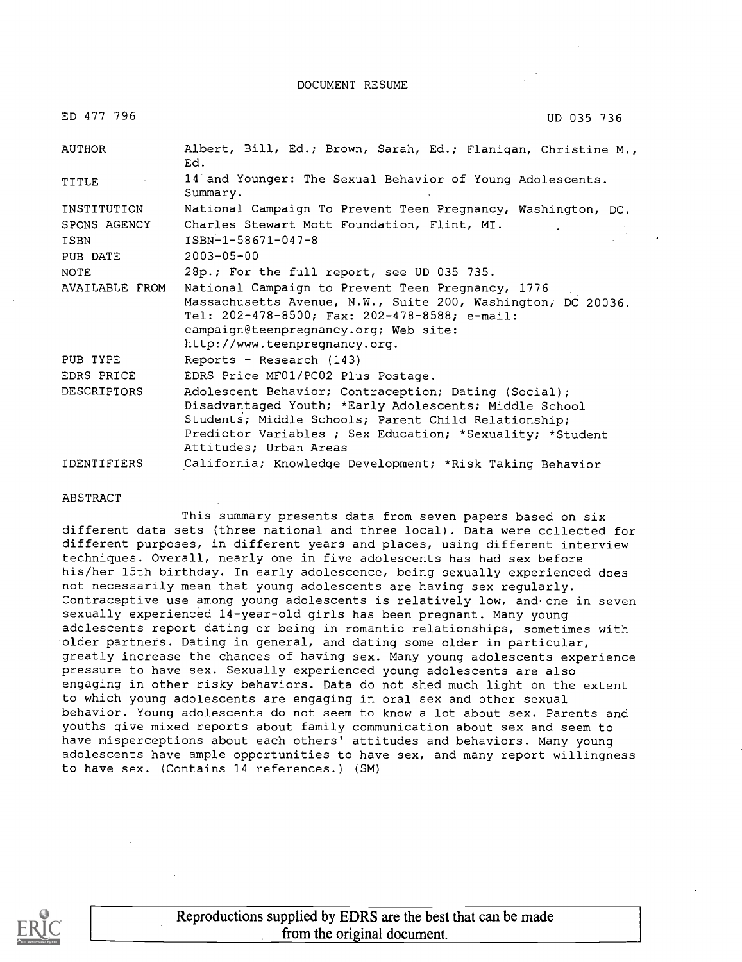DOCUMENT RESUME

| ED 477 796         | UD 035 736                                                                                                                                                                                                                                                    |
|--------------------|---------------------------------------------------------------------------------------------------------------------------------------------------------------------------------------------------------------------------------------------------------------|
| <b>AUTHOR</b>      | Albert, Bill, Ed.; Brown, Sarah, Ed.; Flanigan, Christine M.,<br>Ed.                                                                                                                                                                                          |
| TITLE              | 14 and Younger: The Sexual Behavior of Young Adolescents.<br>Summary.                                                                                                                                                                                         |
| INSTITUTION        | National Campaign To Prevent Teen Pregnancy, Washington, DC.                                                                                                                                                                                                  |
| SPONS AGENCY       | Charles Stewart Mott Foundation, Flint, MI.                                                                                                                                                                                                                   |
| <b>ISBN</b>        | ISBN-1-58671-047-8                                                                                                                                                                                                                                            |
| PUB DATE           | $2003 - 05 - 00$                                                                                                                                                                                                                                              |
| <b>NOTE</b>        | 28p.; For the full report, see UD 035 735.                                                                                                                                                                                                                    |
| AVAILABLE FROM     | National Campaign to Prevent Teen Pregnancy, 1776<br>Massachusetts Avenue, N.W., Suite 200, Washington, DC 20036.<br>Tel: 202-478-8500; Fax: 202-478-8588; e-mail:<br>campaign@teenpregnancy.org; Web site:<br>http://www.teenpregnancy.org.                  |
| PUB TYPE           | Reports - Research (143)                                                                                                                                                                                                                                      |
| EDRS PRICE         | EDRS Price MF01/PC02 Plus Postage.                                                                                                                                                                                                                            |
| <b>DESCRIPTORS</b> | Adolescent Behavior; Contraception; Dating (Social);<br>Disadvantaged Youth; *Early Adolescents; Middle School<br>Students; Middle Schools; Parent Child Relationship;<br>Predictor Variables ; Sex Education; *Sexuality; *Student<br>Attitudes; Urban Areas |
| <b>IDENTIFIERS</b> | California; Knowledge Development; *Risk Taking Behavior                                                                                                                                                                                                      |

#### ABSTRACT

This summary presents data from seven papers based on six different data sets (three national and three local). Data were collected for different purposes, in different years and places, using different interview techniques. Overall, nearly one in five adolescents has had sex before his/her 15th birthday. In early adolescence, being sexually experienced does not necessarily mean that young adolescents are having sex regularly. Contraceptive use among young adolescents is relatively low, and one in seven sexually experienced 14-year-old girls has been pregnant. Many young adolescents report dating or being in romantic relationships, sometimes with older partners. Dating in general, and dating some older in particular, greatly increase the chances of having sex. Many young adolescents experience pressure to have sex. Sexually experienced young adolescents are also engaging in other risky behaviors. Data do not shed much light on the extent to which young adolescents are engaging in oral sex and other sexual behavior. Young adolescents do not seem to know a lot about sex. Parents and youths give mixed reports about family communication about sex and seem to have misperceptions about each others' attitudes and behaviors. Many young adolescents have ample opportunities to have sex, and many report willingness to have sex. (Contains 14 references.) (SM)



Reproductions supplied by EDRS are the best that can be made from the original document.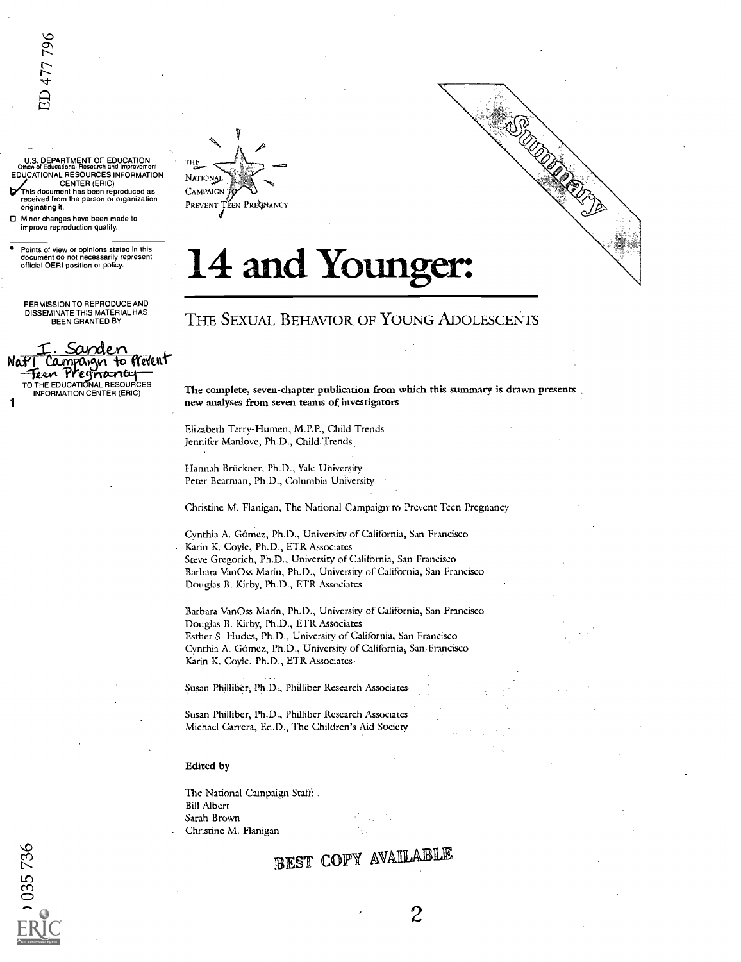U.S. DEPARTMENT OF EDUCATION<br>Office of Educational Research and Improvement<br>EDUCATIONAL RESOURCES INFORMATION NATIO CENTER (ERIC) This document has been reproduced as received from the person or organization

originating it. Minor changes have been made to improve reproduction quality.

Points of view or opinions stated in this document do not necessarily represent official OERI position or policy.

PERMISSION TO REPRODUCE AND DISSEMINATE THIS MATERIAL HAS BEEN GRANTED BY

Sanden I Campaign to Prevent<br>Teen Pregnancy – -Pregnancy TO THE EDUCATIONAL RESOURCES INFORMATION CENTER (ERIC)

1



# 14 and Younger:

## THE SEXUAL BEHAVIOR OF YOUNG ADOLESCENTS

The complete, seven-chapter publication from which this summary is drawn presents new analyses from seven teams of investigators

**CONSTRUCTION** 

Elizabeth Terry-Humen, M.P.P., Child Trends Jennifer Manlove, Ph.D., Child Trends.

Hannah Bruckner, Ph.D., Yale University Peter Bearman, Ph.D., Columbia University

Christine M. Flanigan, The National Campaign. to Prevent Teen Pregnancy

Cynthia A. Gomez, Ph.D., University of California, San Francisco Karin K. Coyle, Ph.D., ETR Associates Steve Gregorich, Ph.D., University of California, San Francisco Barbara VanOss Marín, Ph.D., University of California, San Francisco Douglas B. Kirby, Ph.D., ETR Associates

Barbara VanOss Marín, Ph.D., University of California, San Francisco Douglas B. Kirby, Ph.D., ETR Associates Esther S. Hudes, Ph.D., University of California, San Francisco Cynthia A. Gomez, Ph.D., University of California, San.Francisco Karin K. Coyle, Ph.D., ETR Associates,

Susan Philliber, Ph.D., Philliber Research Associates

Susan Philliber, Ph.D., Philliber Research Associates Michael Carrera, Ed.D., The Children's Aid Society

Edited by

The National Campaign Staff: . Bill Albert Sarah Brown Christine M. Flanigan

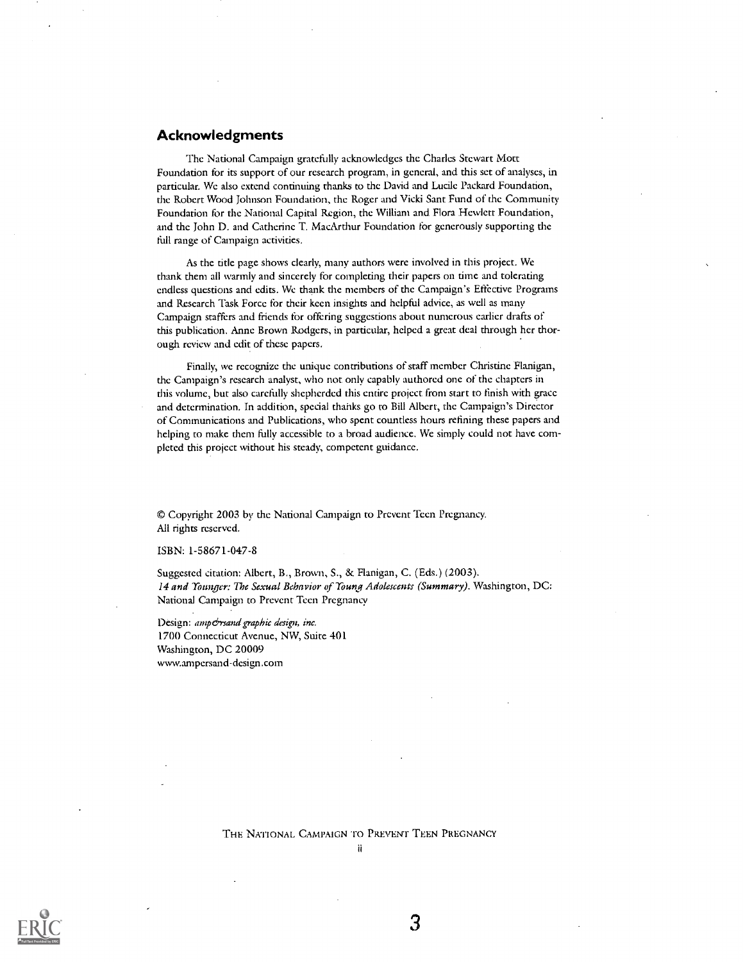#### Acknowledgments

The National Campaign gratefully acknowledges the Charles Stewart Mott Foundation for its support of our research program, in general, and this set of analyses, in particular. We also extend continuing thanks to the David and Lucile Packard Foundation, the Robert Wood Johnson Foundation, the Roger and Vicki Sant Fund of the Community Foundation for the National Capital Region, the William and. Flora Hewlett Foundation, and the John D. and Catherine T. MacArthur Foundation for generously supporting the full range of Campaign activities.

As the title page shows clearly, many authors were involved in this project. We thank them all warmly and sincerely for completing their papers on time and tolerating endless questions and edits. We thank the members of the Campaign's Effective Programs and Research Task Force for their keen insights and helpful advice, as well as many Campaign staffers and friends for offering suggestions about numerous earlier drafts of this publication. Anne Brown Rodgers, in particular, helped a great deal through her thorough review and edit of these papers.

Finally, we recognize the unique contributions of staff member Christine Flanigan, the Campaign's research analyst, who not only capably authored one of the chapters in this volume, but also carefully shepherded this entire project from start to finish with grace and determination. In addition, special thanks go to Bill Albert, the Campaign's Director of Communications and Publications, who spent countless hours refining these papers and helping to make them fully accessible to a broad audience. We simply could not have completed this project without his steady, competent guidance.

© Copyright 2003 by the National Campaign to Prevent Teen Pregnancy. All rights reserved.

ISBN: 1-58671-047-8

Suggested citation: Albert, B., Brown, S., &. Flanigan, C. (Eds.) (2003). 14 and Younger: The Sexual Behavior of Young Adolescents (Summary). Washington, DC: National Campaign to Prevent Teen Pregnancy

Design: amp&rsand graphic design, inc. 1700 Connecticut Avenue, NW, Suite 401 Washington, DC 20009 wwwampersand-design.com

THE NATIONAL CAMPAIGN To PREVENT TEEN PREGNANCY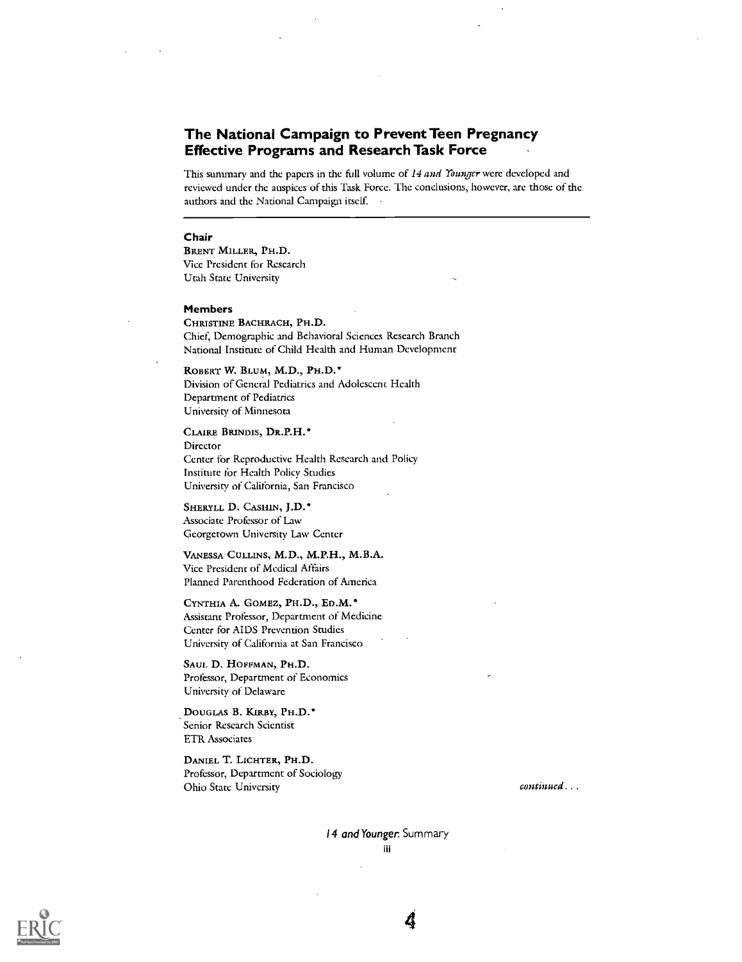## The National Campaign to Prevent Teen Pregnancy Effective Programs and Research Task Force

This summary and the papers in the full volume of 14 and Younger were developed and reviewed under the auspices of this Task Force. The conclusions, however, arc those of the authors and the National Campaign itself.

#### Chair

BRENT MILLER, PH.D. Vice President for Research Utah State University

#### Members

CHRISTINE BACHRACH, PH.D. Chief, Demographic and Behavioral Sciences Research Branch National Institute of Child Health and Human Development

ROBERT W. BLUM, M.D., PH.D.\* Division of General Pediatrics and Adolescent Health Department of Pediatrics University of Minnesota

CLAIRE BRINDIS, DR.P.H.\* Director Center for Reproductive Health Research and Policy Institute for Health Policy Studies University of California, San Francisco

SHERYLL D. CASHIN, J.D. \* Associate Professor of Law Georgetown University Law Center

VANESSA COLLINS, M.D., M.P.H., M.B.A. Vice President of Medical Affairs Planned Parenthood Federation of America

CYNTHIA A. GOMEZ, PH.D., ED.M.\* Assistant Professor, Department of Medicine, Center for AIDS Prevention Studies University of California at San Francisco

SAUL D. HOFFMAN, PH.D. Professor, Department of Economics University of Delaware

DOUGLAS B. KIRBY, PH.D.\* Senior Research Scientist ETR Associates

DANIEL T. LICHTER, PH.D. Professor, Department of Sociology Ohio State University

continued . .



4

14 and Younger. Summary iii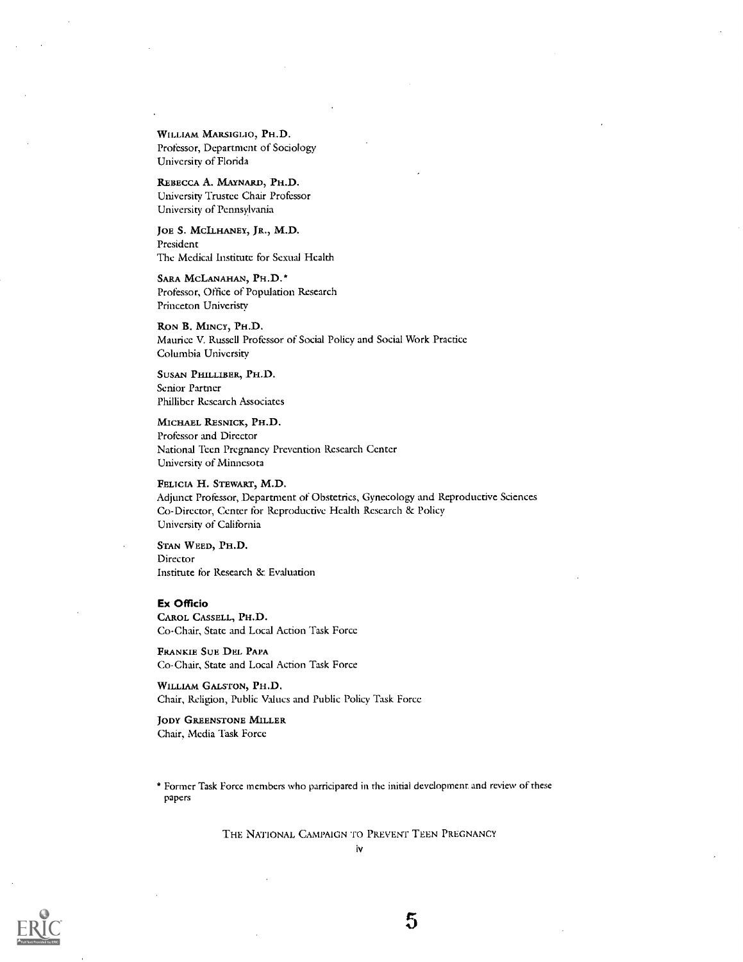WILLIAM MARSIGLIO, PH.D. Professor, Department of Sociology University of Florida

REBECCA A. MAYNARD, PH.D. University Trustee Chair Professor University of Pennsylvania

JOE S. MCILHANEY, JR., M.D. President The Medical Institute for Sexual Health

SARA MCLANAHAN, PH.D. \* Professor, Office of Population Research Princeton Univeristy

RON B. MINCY, PH.D. Maurice V. Russell Professor of Social Policy and Social Work Practice Columbia University

SUSAN PHILLIBER, PH.D. Senior Partner Philliber Research Associates

MICHAEL RESNICK, PH.D. Professor and Director National Teen Pregnancy Prevention Research Center University of Minnesota

FELICIA H. STEWART, M.D. Adjunct Professor, Department of Obstetrics, Gynecology and Reproductive Sciences Co-Director, Center for Reproductive Health Research & Policy University of California

STAN WEED, PH.D. Director Institute for Research & Evaluation

#### Ex Officio

CAROL CASSELL, PH.D. Co-Chair, State and Local Action Task Force

FRANKIE SUE DEL PAPA Co-Chair, State and Local Action Task Force

WILLIAM GALSTON, PH.D. Chair, Religion, Public Values and Public Policy Task Force

#### JODY GREENSTONE MILLER Chair, Media Task Force

\* Former Task Force members who participated in the initial development and review of these papers

THE NATIONAL CAMPAIGN To PREVENT TEEN PREGNANCY

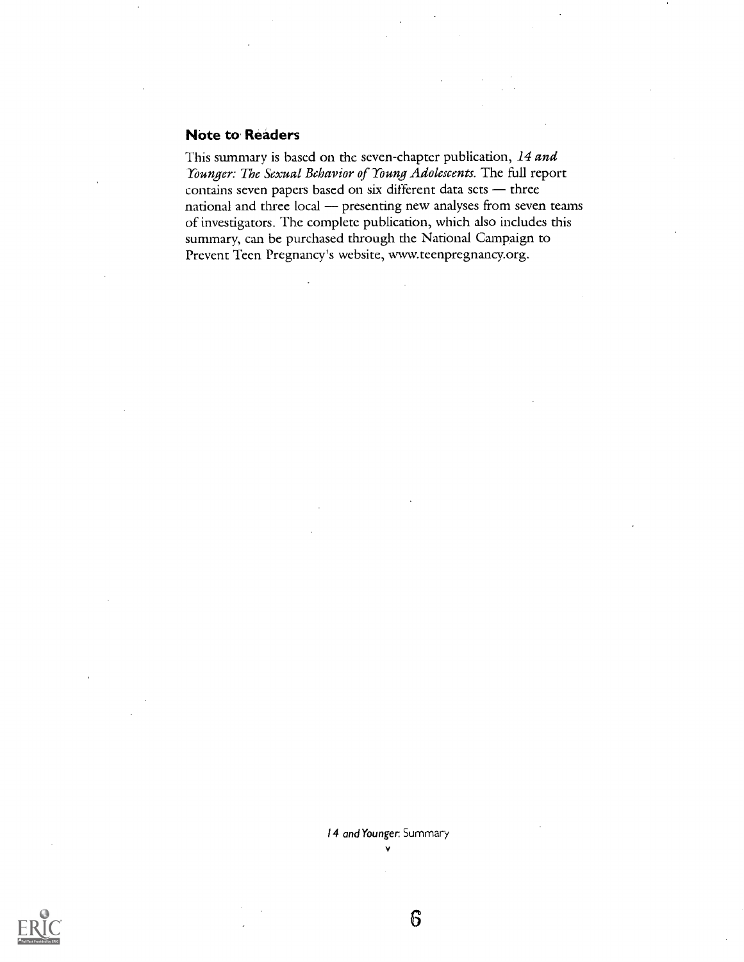### Note to Readers

This summary is based on the seven-chapter publication, 14 and Younger: The Sexual Behavior of Young Adolescents. The full report contains seven papers based on six different data sets  $-$  three national and three local - presenting new analyses from seven teams of investigators. The complete publication, which also includes this summary, can be purchased through the National Campaign to Prevent Teen Pregnancy's website, www.teenpregnancy.org.

> 14 and Younger: Summary V

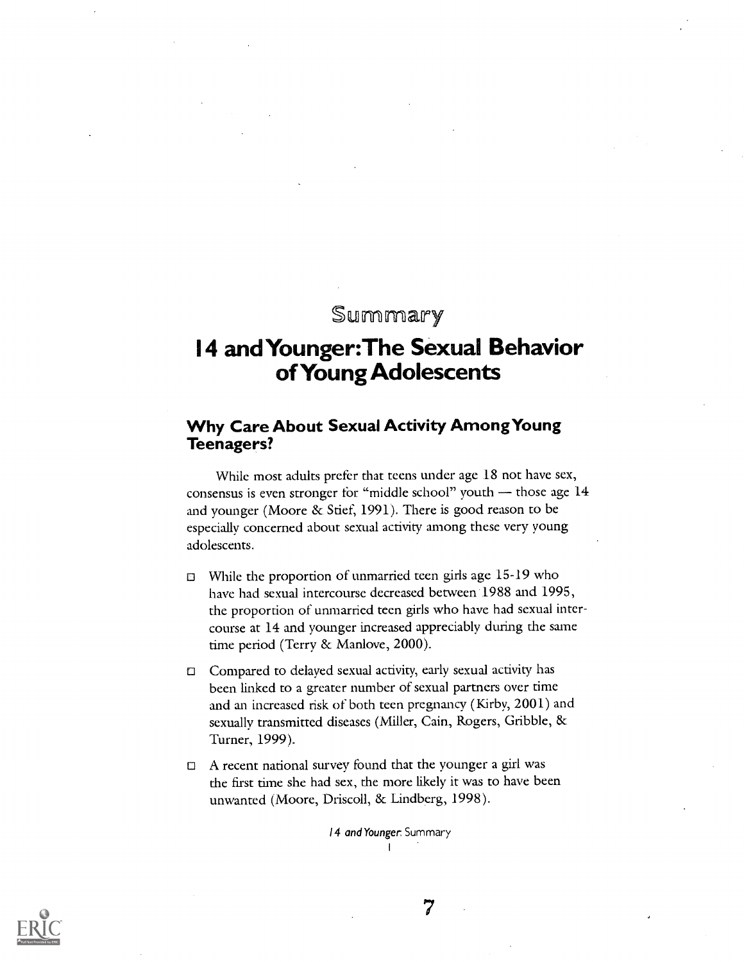## Summary

## 14 and Younger:The Sexual Behavior of Young Adolescents

## Why Care About Sexual Activity Among Young Teenagers?

While most adults prefer that teens under age 18 not have sex, consensus is even stronger for "middle school" youth  $-$  those age  $14$ and younger (Moore & Stief, 1991). There is good reason to be especially concerned about sexual activity among these very young adolescents.

- o While the proportion of unmarried teen girls age 15-19 who have had sexual intercourse decreased between 1988 and 1995, the proportion of unmarried teen girls who have had sexual intercourse at 14 and younger increased appreciably during the same time period (Terry & Manlove, 2000).
- o Compared to delayed sexual activity, early sexual activity has been linked to a greater number of sexual partners over time and an increased risk of both teen pregnancy (Kirby, 2001) and sexually transmitted diseases (Miller, Cain, Rogers, Gribble, & Turner, 1999).
- $\Box$  A recent national survey found that the younger a girl was the first time she had sex, the more likely it was to have been unwanted (Moore, Driscoll, & Lindberg, 1998).

14 and Younger. Summary $\mathbf{I}$ 

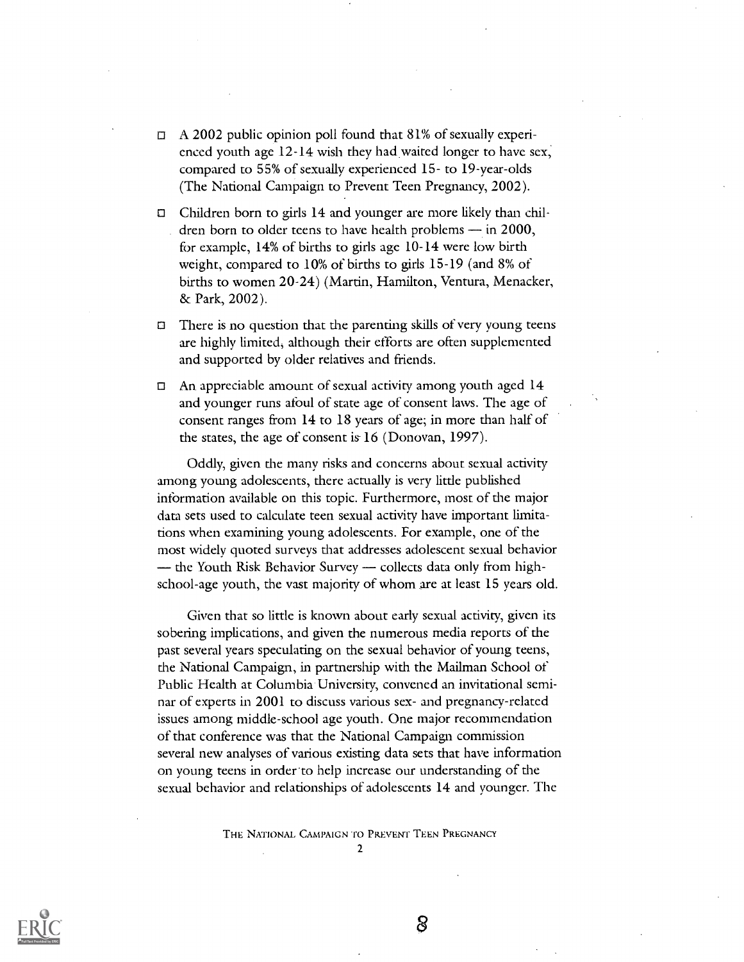- $\Box$  A 2002 public opinion poll found that 81% of sexually experienced youth age  $12-14$  wish they had waited longer to have sex, compared to 55% of sexually experienced 15- to 19-year-olds (The National Campaign to Prevent Teen Pregnancy, 2002).
- Children born to girls 14 and younger are more likely than children born to older teens to have health problems  $-$  in 2000, for example, 14% of births to girls age 10-14 were low birth weight, compared to  $10\%$  of births to girls  $15-19$  (and  $8\%$  of births to women 20-24) (Martin, Hamilton, Ventura, Menacker, & Park, 2002).
- $\Box$ There is no question that the parenting skills of very young teens are highly limited; although their efforts are often supplemented and supported by older relatives and friends.
- $\Box$ An appreciable amount of sexual activity among youth aged 14 and younger runs afoul of state age of consent laws. The age of consent ranges from 14 to 18 years of age; in more than half of the states, the age of consent is 16 (Donovan, 1997).

Oddly, given the many risks and concerns about sexual activity among young adolescents, there actually is very little published information available on this topic. Furthermore, most of the major data sets used to calculate teen sexual activity have important limitations when examining young adolescents. For example, one of the most widely quoted surveys that addresses adolescent sexual behavior  $-$  the Youth Risk Behavior Survey  $-$  collects data only from highschool-age youth, the vast majority of whom are at least 15 years old.

Given that so little is known about early sexual activity, given its sobering implications, and given the numerous media reports of the past several years speculating on the sexual behavior of young teens, the National Campaign, in partnership with the Mailman School of Public Health at Columbia University, convened an invitational seminar of experts in 2001 to discuss various sex- and pregnancy-related issues among middle-school age youth. One major recommendation of that conference was that the National Campaign commission several new analyses of various existing data sets that have information on young teens in order.to help increase our understanding of the sexual behavior and relationships of adolescents 14 and younger. The

THE NATIONAL. CAMPAIGN To PREVENT TEEN PREGNANCY

 $\mathcal{L}$ 

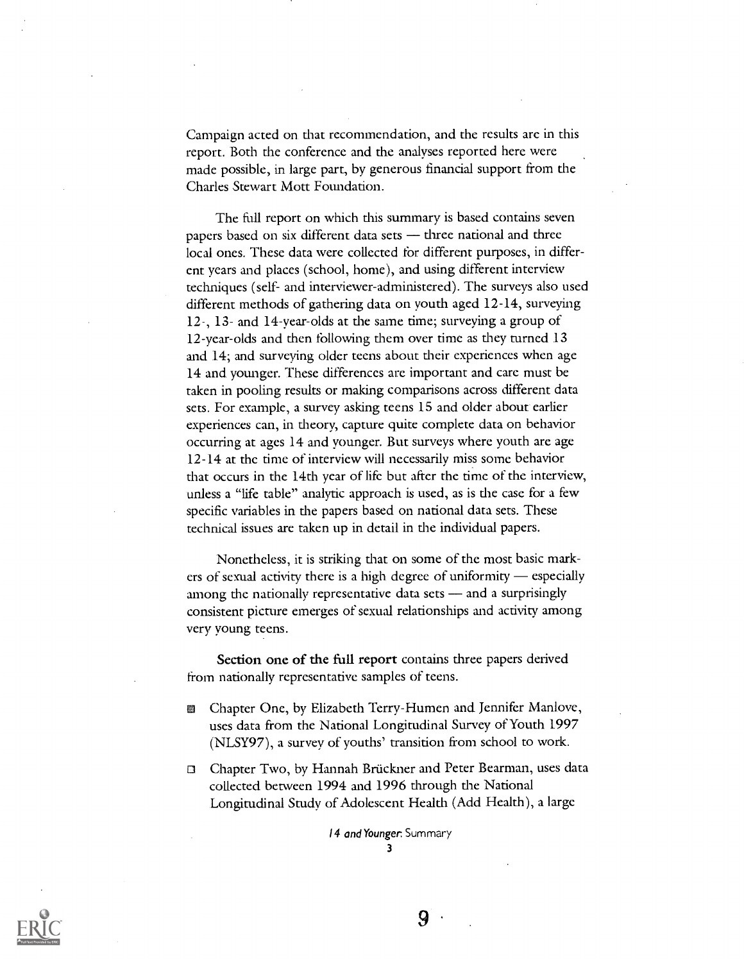Campaign acted on that recommendation, and the results arc in this report. Both the conference and the analyses reported here were made possible, in large part, by generous financial support from the Charles Stewart Mott Foundation.

The full report on which this summary is based contains seven papers based on six different data sets  $-$  three national and three local ones. These data were collected for different purposes, in different years and places (school, home), and using different interview techniques (self- and interviewer-administered). The surveys also used different methods of gathering data on youth aged 12-14, surveying 12-, 13- and 14-year-olds at the same time; surveying a group of 12-year-olds and then following them over time as they turned 13 and 14; and surveying older teens about their experiences when age 14 and younger. These differences are important and care must be taken in pooling results or making comparisons across different data sets. For example, a survey asking teens 15 and older about earlier experiences can, in theory, capture quite complete data on behavior occurring at ages 14 and younger. But surveys where youth are age 12-14 at the time of interview will necessarily miss some behavior that occurs in the 14th year of life but after the time of the interview, unless a "life table" analytic approach is used, as is the case for a few specific variables in the papers based on national data sets. These technical issues are taken up in detail in the individual papers.

Nonetheless, it is striking that on some of the most basic markers of sexual activity there is a high degree of uniformity  $-$  especially among the nationally representative data sets - and a surprisingly consistent picture emerges of sexual relationships and activity among very young teens.

Section one of the full report contains three papers derived from nationally representative samples of teens.

- Chapter One, by Elizabeth Terry-Humen and Jennifer Manlove, 翻 uses data from the National Longitudinal Survey of Youth 1997 (NLSY97), a survey of youths' transition from school to work.
- 0 Chapter Two, by Hannah Bruckner and Peter Bearman, uses data collected between 1994 and 1996 through the National Longitudinal Study of Adolescent Health (Add Health), a large

14 and Younger. Summary 3

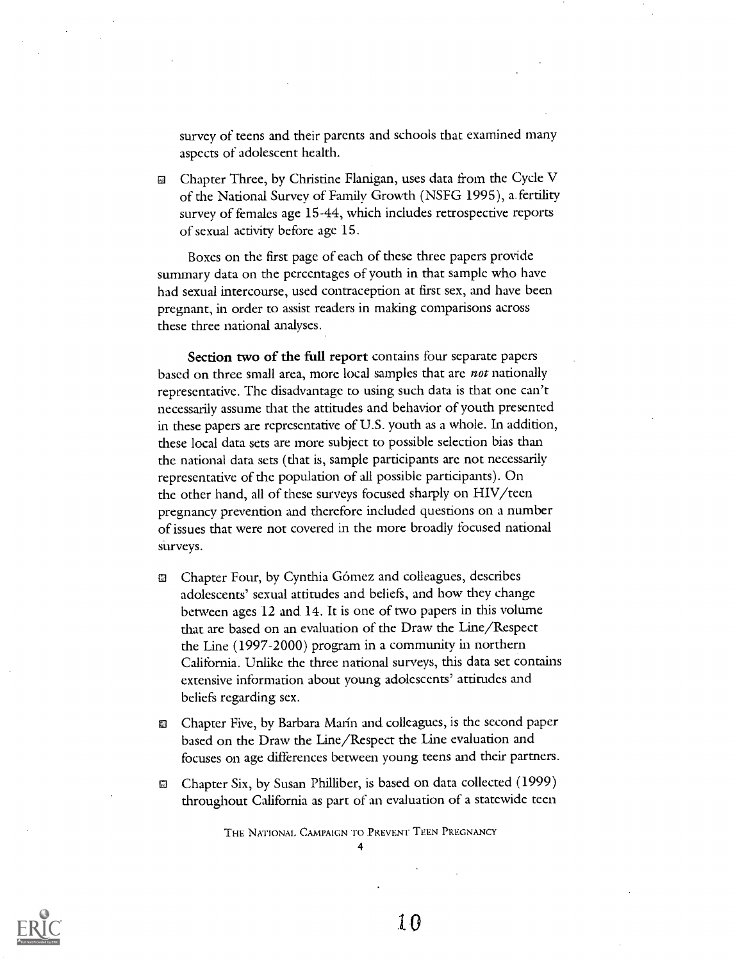survey of teens and their parents and schools that examined many aspects of adolescent health.

Chapter Three, by Christine Flanigan, uses data from the Cycle V of the National Survey of Family Growth (NSFG 1995), a. fertility survey of females age 15-44, which includes retrospective reports of sexual activity before age 15.

Boxes on the first page of each of these three papers provide summary data on the percentages of youth in that sample who have had sexual intercourse, used contraception at first sex, and have been pregnant, in order to assist readers in making comparisons across these three national analyses.

Section two of the full report contains four separate papers based on three small area, more local samples that are *not* nationally representative. The disadvantage to using such data is that one can't necessarily assume that the attitudes and behavior of youth presented in these papers are representative of U.S. youth as a whole. In addition, these local data sets are more subject to possible selection bias than the national data sets (that is, sample participants arc not necessarily representative of the population of all possible participants). On the other hand, all of these surveys focused sharply on HIV/teen pregnancy prevention and therefore included questions on a number of issues that were not covered in the more broadly focused national surveys.

- Chapter Four, by Cynthia Gómez and colleagues, describes IJ adolescents' sexual attitudes and beliefs, and how they change between ages 12 and 14. It is one of two papers in this volume that are based on an evaluation of the Draw the Line/Respect the Line (1997-2000) program in a community in northern California. Unlike the three national surveys, this data set contains extensive information about young adolescents' attitudes and beliefs regarding sex.
- **E.** Chapter Five, by Barbara Marín and colleagues, is the second paper based on the Draw the Line/Respect the Line evaluation and focuses on age differences between young teens and their partners.
- Chapter Six, by Susan Philliber, is based on data collected (1999) Q. throughout California as part of an evaluation of a statewide teen

THE NATIONAL CAMPAIGN To PREVENT TEEN PREGNANCY 4

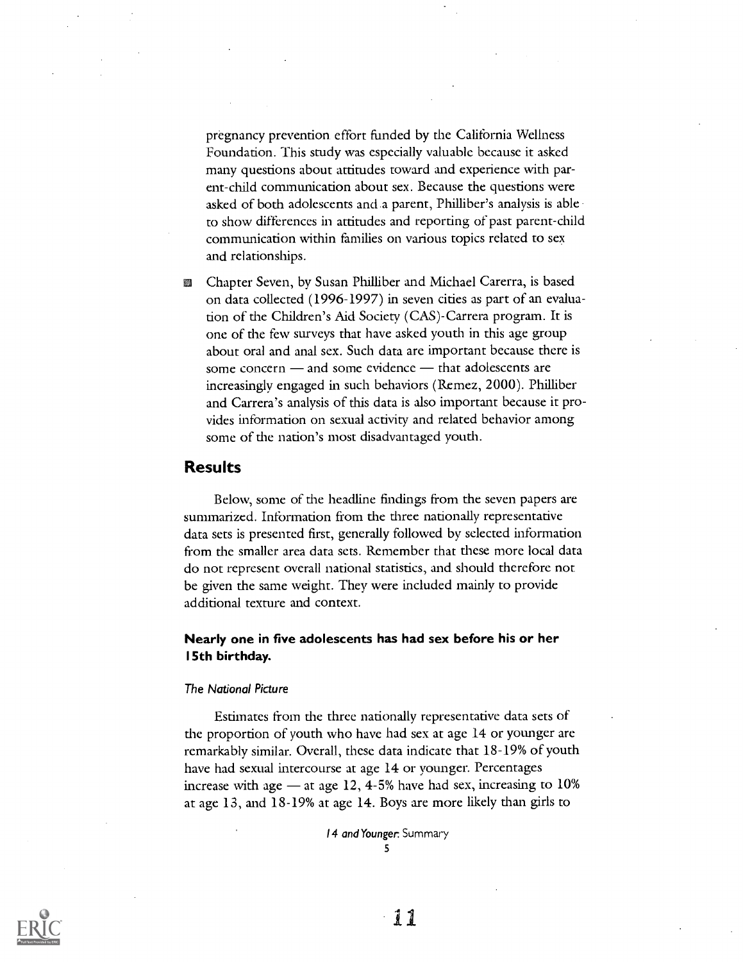pregnancy prevention effort funded by the California Wellness Foundation. This study was especially valuable because it asked many questions about attitudes toward and experience with parent-child commimication about sex. Because the questions were asked of both adolescents and.a parent, Philliber's analysis is able to show differences in attitudes and reporting of past parent-child communication within families on various topics related to sex and relationships.

Chapter Seven, by Susan Philliber and Michael Carerra, is based m on data collected (1996-1997) in seven cities as part of an evaluation of the Children's Aid Society (CAS)-Carrera program. It is one of the few surveys that have asked youth in this age group about oral and anal sex. Such data are important because there is some concern  $-$  and some evidence  $-$  that adolescents are increasingly engaged in such behaviors (Remez, 2000). Philliber and Carrera's analysis of this data is also important because it provides information on sexual activity and related behavior among some of the nation's most disadvantaged youth.

## Results

Below, some of the headline findings from the seven papers are summarized. Information from the three nationally representative data sets is presented first, generally followed by selected information from the smaller area data sets. Remember that these more local data do not represent overall national statistics, and. should therefore not be given the same weight. They were included mainly to provide additional texture and context.

## Nearly one in five adolescents has had sex before his or her 15th birthday.

#### The National Picture

Estimates from the three nationally representative data sets of the proportion of youth who have had sex at age 14 or younger are remarkably similar. Overall, these data indicate that 18-19% of youth have had sexual intercourse at age 14 or younger. Percentages increase with age  $-$  at age 12, 4-5% have had sex, increasing to 10% at age 13, and 18-19% at age 14. Boys are more likely than girls to

> 14 and Younger. Summary 5

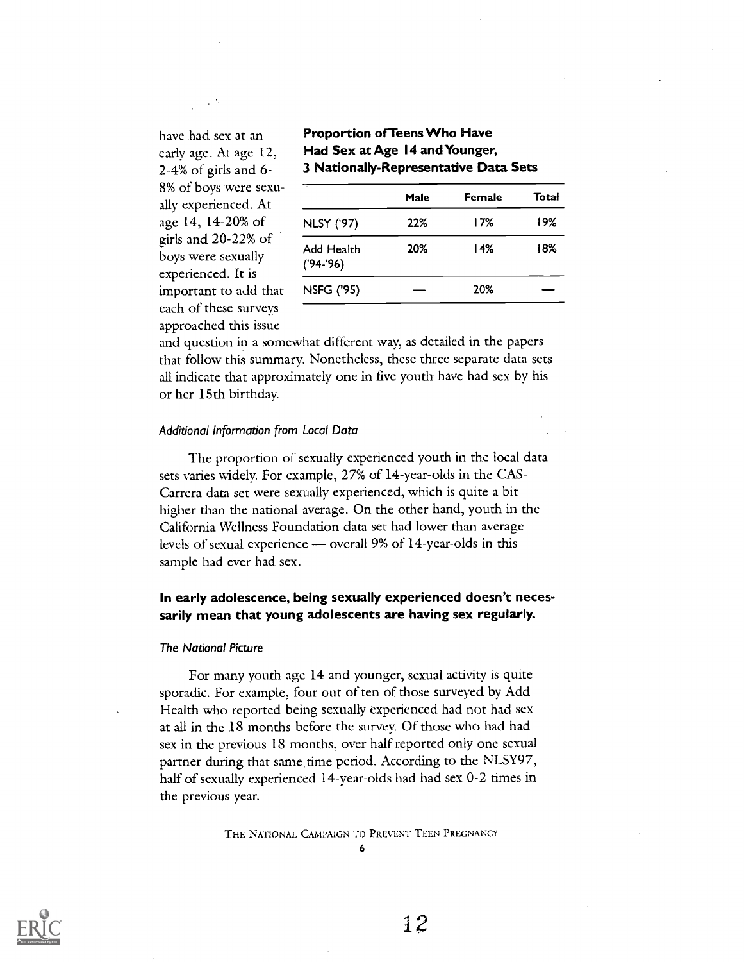8% of boys were sexuage 14, 14-20% of girls and 20-22% of boys were sexually experienced. It is important to add that each of these surveys approached this issue

## have had sex at an **Proportion of Teens Who Have** early age. At age 12, Had Sex at Age 14 and Younger, 2-4% of girls and 6- 3 Nationally-Representative Data Sets

| 8% of boys were sexu-<br>ally experienced. At                                                                 |                           | Male | Female | Total |
|---------------------------------------------------------------------------------------------------------------|---------------------------|------|--------|-------|
| age 14, 14-20% of<br>girls and 20-22% of<br>boys were sexually<br>experienced. It is<br>important to add that | <b>NLSY ('97)</b>         | 22%  | 17%    | 19%   |
|                                                                                                               | Add Health<br>$('94-'96)$ | 20%  | 14%    | 18%   |
|                                                                                                               | <b>NSFG ('95)</b>         |      | 20%    |       |
| aqab af thoso suruww                                                                                          |                           |      |        |       |

and question in a somewhat different way, as detailed in the papers that follow this summary. Nonetheless, these three separate data sets all indicate that approximately one in five youth have had sex by his or her 15th birthday.

#### Additional Information from Local Data

The proportion of sexually experienced youth in the local data sets varies widely. For example, 27% of 14-year-olds in the CAS-Carrera data set were sexually experienced, which is quite a bit higher than the national average. On the other hand, youth in the California Wellness Foundation data set had lower than average levels of sexual experience  $-$  overall 9% of 14-year-olds in this sample had ever had sex.

## In early adolescence, being sexually experienced doesn't necessarily mean that young adolescents are having sex regularly.

#### The National Picture

For many youth age 14 and younger, sexual activity is quite sporadic. For example, four out of ten of those surveyed by Add Health who reported being sexually experienced had not had sex at all in the 18 months before the survey. Of those who had had sex in the previous 18 months, over half reported only one sexual partner during that same time period. According to the NLSY97, half of sexually experienced 14-year-olds had had sex 0-2 times in the previous year.

THE NATIONAL CAMPAIGN To PREVENT TEEN PREGNANCY

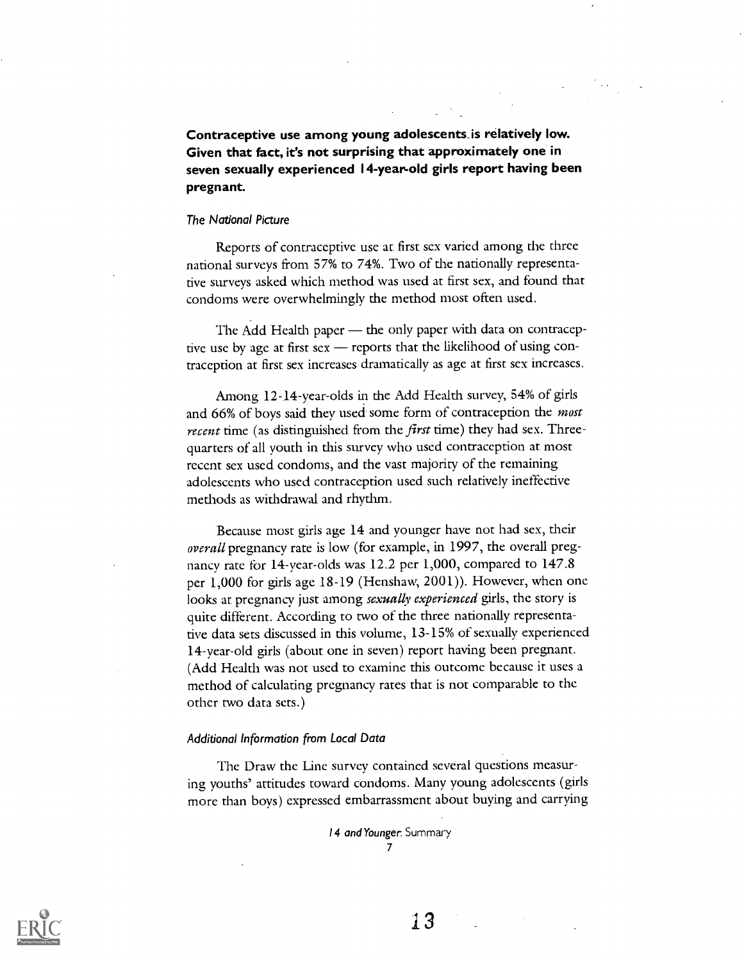Contraceptive use among young adolescents\_is relatively low. Given that fact, it's not surprising that approximately one in seven sexually experienced 14-year-old girls report having been pregnant.

#### The National Picture

Reports of contraceptive use at first sex varied among the three national surveys from 57% to 74%. Two of the nationally representative surveys asked which method was used at first sex, and found that condoms were overwhelmingly the method most often used.

The Add Health paper  $-$  the only paper with data on contraceptive use by age at first sex  $-$  reports that the likelihood of using contraception at first sex increases dramatically as age at first sex increases.

Among 12-14-year-olds in the Add Health survey, 54% of girls and 66% of boys said they used some form of contraception the *most* recent time (as distinguished from the first time) they had sex. Threequarters of all youth in this survey who used contraception at most recent sex used condoms, and the vast majority of the remaining adolescents who used contraception used such relatively ineffective methods as withdrawal and rhythm.

Because most girls age 14 and younger have not had sex, their overall pregnancy rate is low (for example, in 1997, the overall pregnancy rate for 14-year-olds was  $12.2$  per 1,000, compared to 147.8 per 1,000 for girls age 18-19 (Henshaw, 2001)). However, when one looks at pregnancy just among sexually experienced girls, the story is quite different. According to two of the three nationally representative data sets discussed in this volume, 13-15% of sexually experienced 14-year-old girls (about one in seven) report having been pregnant. (Add Health was not used to examine this outcome because it uses a method of calculating pregnancy rates that is not comparable to the other two data sets.)

#### Additional Information from Local Data

The Draw the Line survey contained several questions measuring youths' attitudes toward condoms. Many young adolescents (girls more than boys) expressed embarrassment about buying and carrying

> 14 and Younger. Summary 7

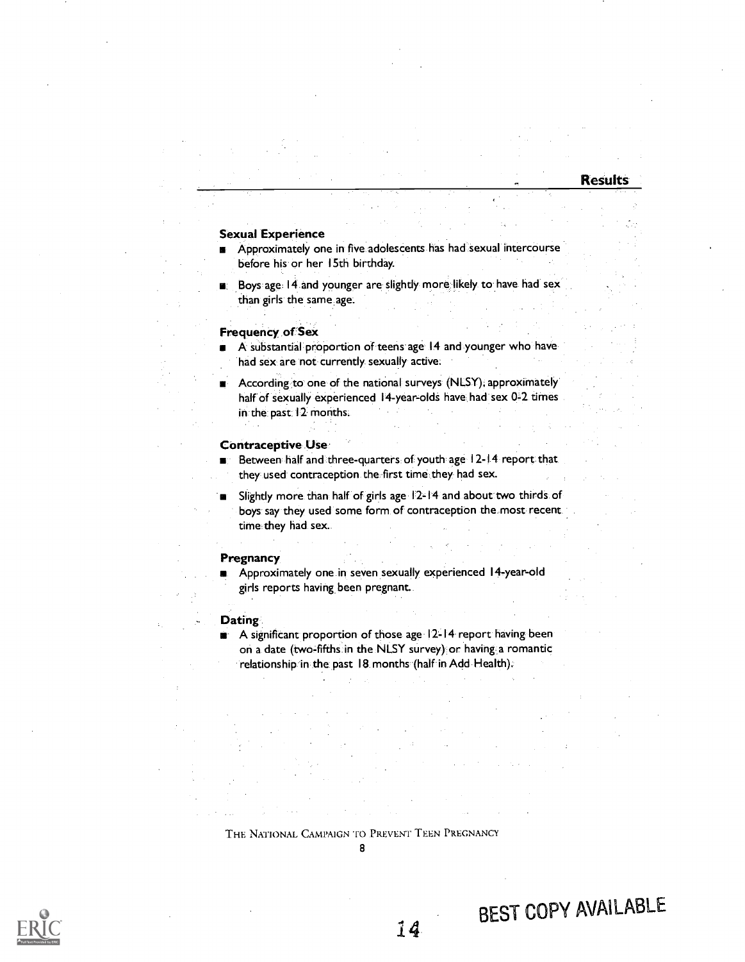#### Sexual Experience

- Approximately one in five adolescents has had sexual intercourse before his or her 15th birthday.
- Boys age 14 and younger are slightly more likely to have had sex than girls the same age.

#### Frequency of Sex

- A substantial proportion of teens age 14 and younger who have  $\blacksquare$ had sex are not currently sexually active.
- According to one of the national surveys (NLSY), approximately half of sexually experienced 14-year-olds have had sex 0-2 times in the past 12 months.

#### Contraceptive Use

- Between half and three-quarters of youth age 12-14 report that they used contraception the first time they had sex.
- Slightly more than half of girls age 12-14 and about two thirds of boys say they used some form of contraception the most recent time they had sex.

#### **Pregnancy**

Approximately one in seven sexually experienced 14-year-old girls reports having been pregnant.

#### **Dating**

**A** significant proportion of those age 12-14 report having been on a date (two-fifths in the NLSY survey) or having a romantic relationship in the past 18. months (half in Add Health).

#### THE NATIONAL CAMPAIGN To PREVENT TEEN PREGNANCY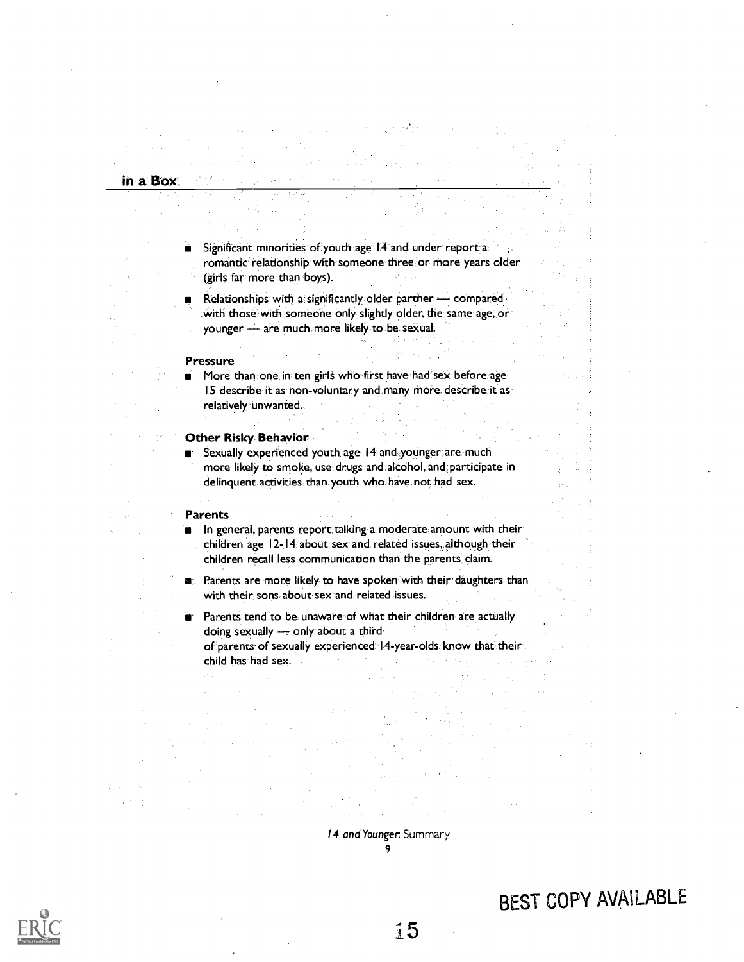## in a Box

- Significant minorities of youth age 14 and under report a romantic relationship with someone three, or more years older (girls far more than boys).
- Relationships with a significantly older partner  $-$  compared . with those with someone only slightly older, the same age, or younger - are much more likely to be sexual.

#### Pressure

More than one in ten girls who first have had sex before age 15 describe it as non-voluntary and many more describe it as relatively unwanted.

#### Other Risky Behavior

Sexually experienced youth age 14 and younger are much more likely to smoke, use drugs and alcohol, and participate in delinquent activities than youth who have not had sex.

#### Parents

In general, parents report talking a moderate amount with their , children age 12-14 about sex and related issues, although their children recall less communication than the parents claim.

- Parents are more likely to have spoken with their daughters than with their sons about sex and related issues.
- Parents tend to be unaware of what their children are actually doing sexually - only about a thirdof parents of sexually experienced 14-year-olds know that their child has had sex.

14 and Younger: Summary 9

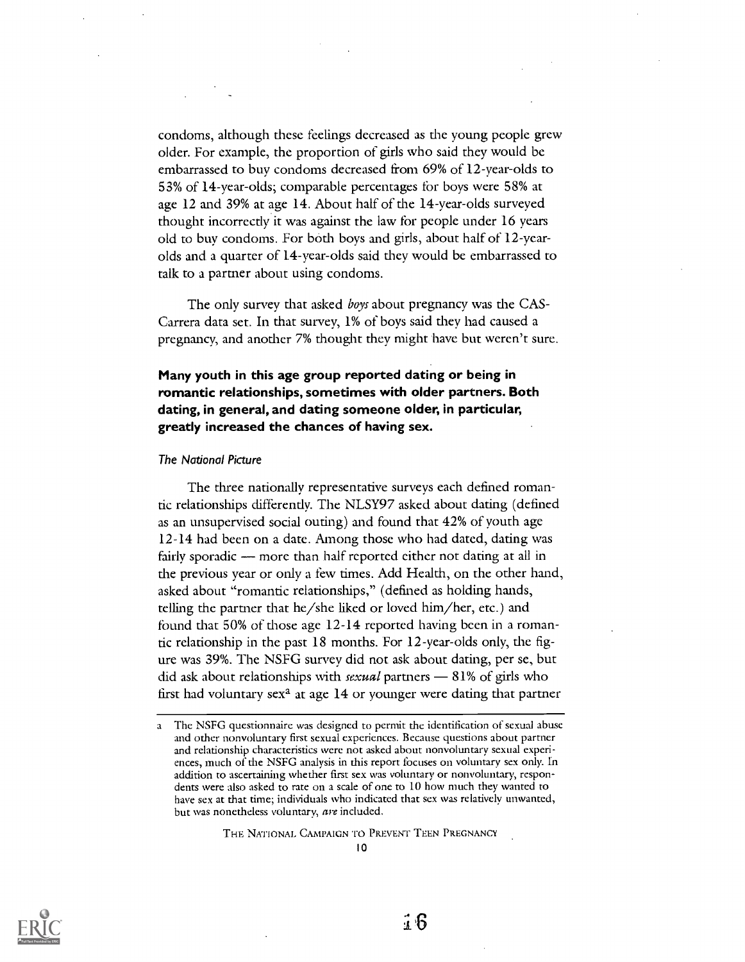condoms, although these feelings decreased as the young people grew older. For example, the proportion of girls who said they would be embarrassed to buy condoms decreased from 69% of 12-year-olds to 53% of 14-year-olds; comparable percentages for boys were 58% at age 12 and 39% at age 14. About half of the 14-year-olds surveyed thought incorrectly it was against the law for people under 16 years old to buy condoms. For both boys and girls, about half of 12-yearolds and a quarter of 14-year-olds said they would be embarrassed to talk to a partner about using condoms.

The only survey that asked *boys* about pregnancy was the CAS-Carrera data set. In that survey, 1% of boys said they had caused a pregnancy, and another 7% thought they might have but weren't sure.

## Many youth in this age group reported dating or being in romantic relationships, sometimes with older partners. Both dating, in general, and dating someone older, in particular, greatly increased the chances of having sex.

#### The National Picture

The three nationally representative surveys each defined romantic relationships differently. The NLSY97 asked about dating (defined as an unsupervised social outing) and found that 42% of youth age 12-14 had been on a date. Among those who had dated, dating was fairly sporadic - more than half reported either not dating at all in the previous year or only a few times. Add Health, on the other hand, asked about "romantic relationships," (defined as holding hands, telling the partner that he/she liked or loved him/her, etc.) and found that 50% of those age 12-14 reported having been in a romantic relationship in the past 18 months. For 12-year-olds only, the figure was 39%. The NSFG survey did not ask about dating, per se, but did ask about relationships with *sexual* partners  $-81\%$  of girls who first had voluntary  $sex^2$  at age 14 or younger were dating that partner

THE NATIONAL CAMPAIGN To PREVENT TEEN PREGNANCY



a The NSFG questionnaire was designed to permit the identification of sexual abuse and other nonvoluntary first sexual experiences. Because questions about partner and relationship characteristics were not asked about nonvoluntary sexual experiences, much of the NSFG analysis in this report focuses on voluntary sex only. In addition to ascertaining whether first sex was voluntary or nonvoluntary, respondents were also asked to rate on a scale of one to 10 how much they wanted to have sex at that time; individuals who indicated that sex was relatively unwanted, but was nonetheless voluntary, are included.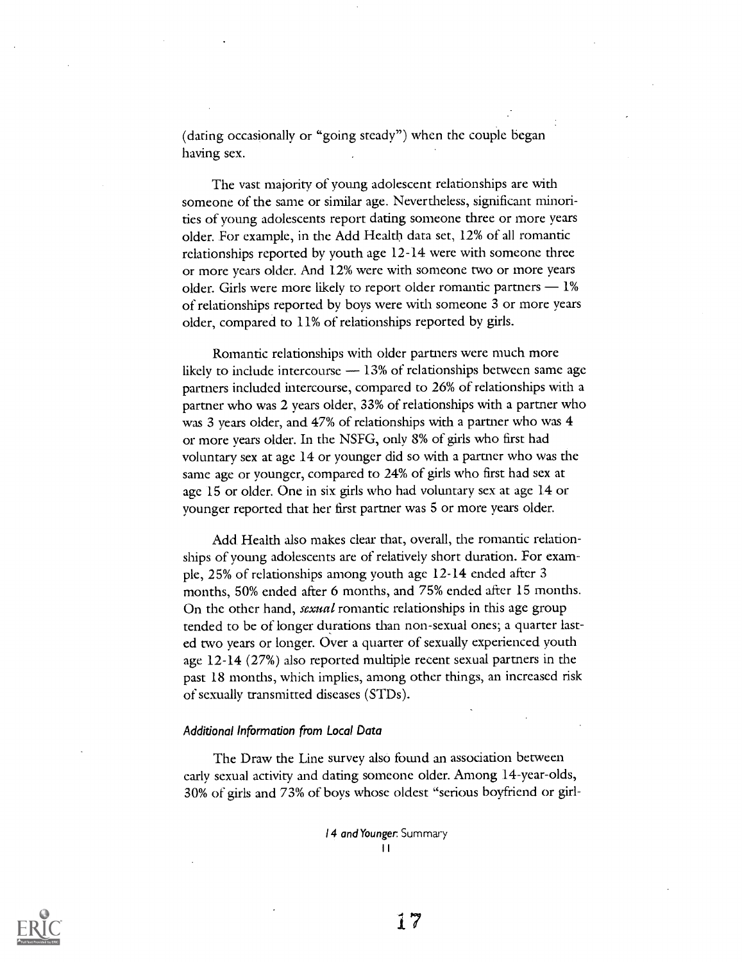(daring occasionally or "going steady") when the couple began having sex.

The vast majority of young adolescent relationships are with someone of the same or similar age. Nevertheless, significant minorities of young adolescents report dating someone three or more years older. For example, in the Add Health data set, 12% of all romantic relationships reported by youth age 12-14 were with someone three or more years older. And 12% were with someone two or more years older. Girls were more likely to report older romantic partners  $-1\%$ of relationships reported by boys were with someone 3 or more years older, compared to 11% of relationships reported by girls.

Romantic relationships with older partners were much more likely to include intercourse  $-13%$  of relationships between same age partners included intercourse, compared to 26% of relationships with a partner who was 2 years older, 33% of relationships with a partner who was 3 years older, and 47% of relationships with a partner who was 4 or more years older. In the NSFG, only 8% of girls who first had voluntary sex at age 14 or younger did so with a partner who was the same age or younger, compared to 24% of girls who first had sex at age 15 or older. One in six girls who had voluntary sex at age 14 or younger reported that her first partner was 5 or more years older.

Add. Health also makes clear that, overall, the romantic relationships of young adolescents are of relatively short duration. For example, 25% of relationships among youth age 12-14 ended after 3 months, 50% ended after 6 months, and 75% ended after 15 months. On the other hand, sexual romantic relationships in this age group tended to be of longer durations than non-sexual ones; a quarter lasted two years or longer. Over a quarter of sexually experienced youth age 12-14 (27%) also reported multiple recent sexual partners in the past 18 months, which implies, among other things, an increased risk of sexually transmitted diseases (STDs).

#### Additional Information from Local Data

The Draw the Line survey also found an association between early sexual activity and dating someone older. Among 14-year-olds, 30% of girls and 73% of boys whose oldest "serious boyfriend or girl-

> 14 and Younger: Summary I I

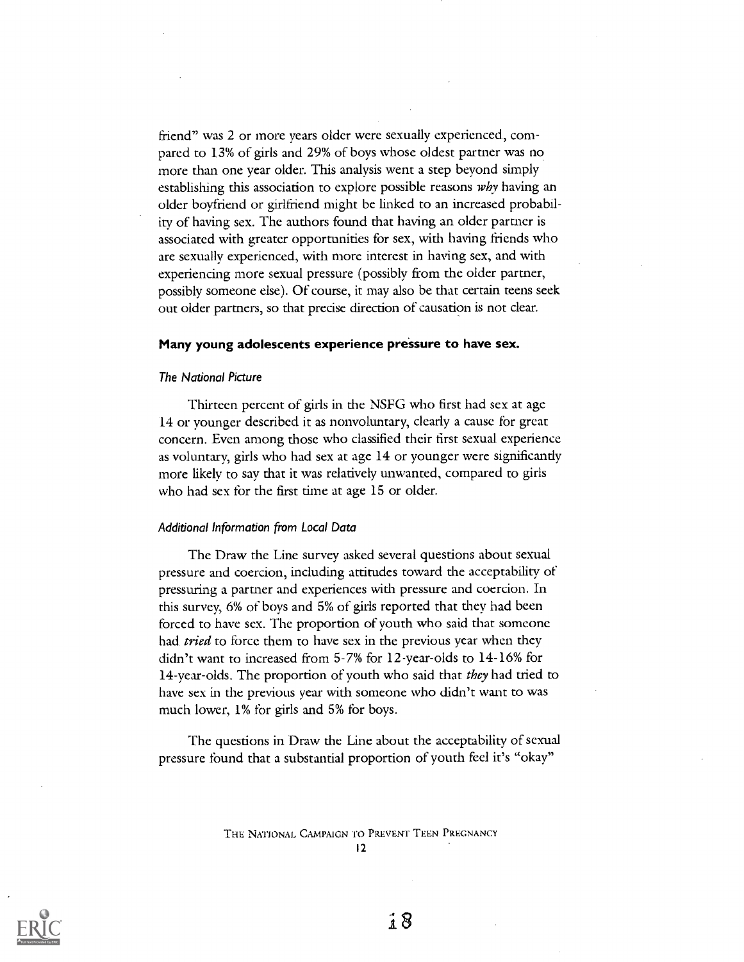friend" was 2 or more years older were sexually experienced, compared to 13% of girls and 29% of boys whose oldest partner was no more than one year older. This analysis went a step beyond simply establishing this association to explore possible reasons why having an older boyfriend or girlfriend might be linked to an increased probability of having sex. The authors found that having an older partner is associated with greater opportunities for sex, with having friends who are sexually experienced, with more interest in having sex, and with experiencing more sexual pressure (possibly from the older partner, possibly someone else). Of course, it may also be that certain teens seek out older partners, so that precise direction of causation is not clear.

#### Many young adolescents experience pressure to have sex.

#### The National Picture

Thirteen percent of girls in the NSFG who first had sex at age 14 or younger described it as nonvoluntary, clearly a cause for great concern. Even among those who classified their first sexual experience as voluntary, girls who had sex at age 14 or younger were significantly more likely to say that it was relatively unwanted, compared to girls who had sex for the first time at age 15 or older.

#### Additional Information from Local Data

The Draw the Line survey asked several questions about sexual pressure and coercion, including attitudes toward the acceptability of pressuring a partner and experiences with pressure and coercion. In this survey, 6% of boys and 5% of girls reported that they had been forced to have sex. The proportion of youth who said that someone had *tried* to force them to have sex in the previous year when they didn't want to increased from 5-7% for 12-year-olds to 14-16% for 14-year-olds. The proportion of youth who said that they had tried to have sex in the previous year with someone who didn't want to was much lower, 1% for girls and 5% for boys.

The questions in Draw the Line about the acceptability of sexual pressure found that a substantial proportion of youth feel it's "okay"

> THE NATIONAL CAMPAIGN '10 PREVENT TEEN PREGNANCY 12

 $\hat{1}8$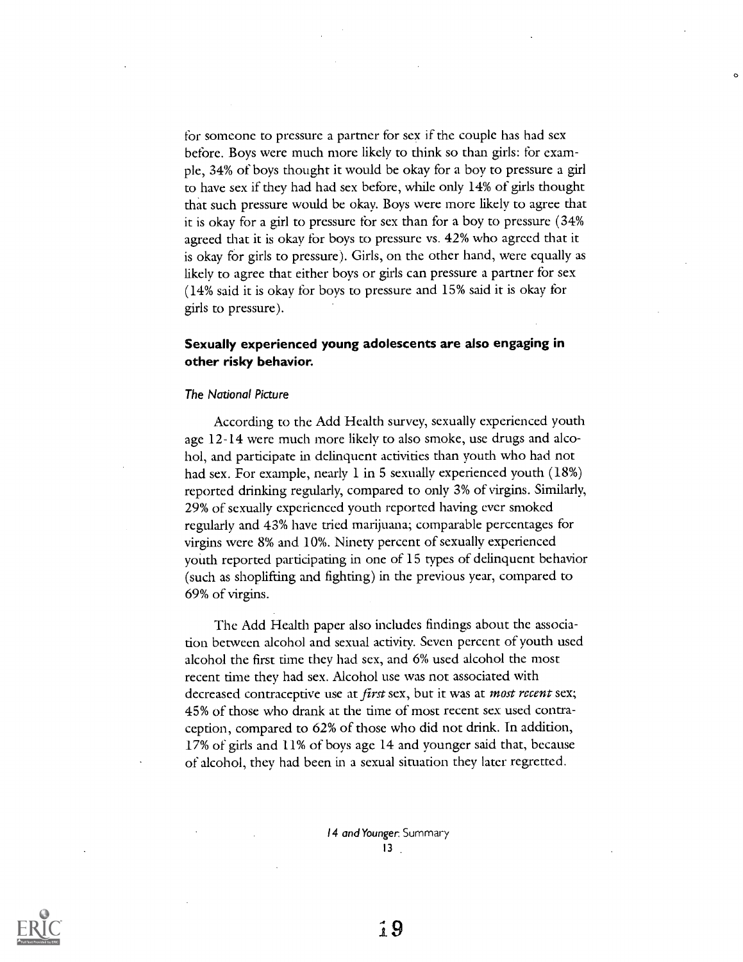for someone to pressure a partner for sex if the couple has had sex before. Boys were much more likely to think so than girls: for example, 34% of boys thought it would be okay for a boy to pressure a girl to have sex if they had had sex before, while only 14% of girls thought that such pressure would be okay. Boys were more likely to agree that it is okay for a girl to pressure for sex than for a boy to pressure  $(34\%)$ agreed that it is okay for boys to pressure vs. 42% who agreed that it is okay for girls to pressure). Girls, on the other hand, were equally as likely to agree that either boys or girls can pressure a partner for sex (14% said it is okay for boys to pressure and 15% said it is okay for girls to pressure).

 $\mathbf{c}$ 

## Sexually experienced young adolescents are also engaging in other risky behavior.

#### The National Picture

According to the Add Health survey, sexually experienced youth age 12-14 were much more likely to also smoke, use drugs and alcohol, and participate in delinquent activities than youth who had not had sex. For example, nearly 1 in 5 sexually experienced youth (18%) reported drinking regularly, compared to only 3% of virgins. Similarly, 29% of sexually experienced youth reported having ever smoked regularly and 43% have tried marijuana; comparable percentages for virgins were 8% and 10%. Ninety percent of sexually experienced youth reported participating in one of 15 types of delinquent behavior (such as shoplifting and fighting) in the previous year, compared to 69% of virgins.

The Add Health paper also includes findings about the association between alcohol and sexual activity. Seven percent of youth used alcohol the first time they had sex, and 6% used alcohol the most recent time they had sex. Alcohol use was not associated with decreased contraceptive use at *first* sex, but it was at *most recent* sex; 45% of those who drank at the time of most recent sex used contraception, compared to 62% of those who did not drink. In addition, 17% of girls and 11% of boys age 14 and younger said that, because of alcohol, they had been in a sexual situation they later regretted.

> 14 and Younger. Summary 13

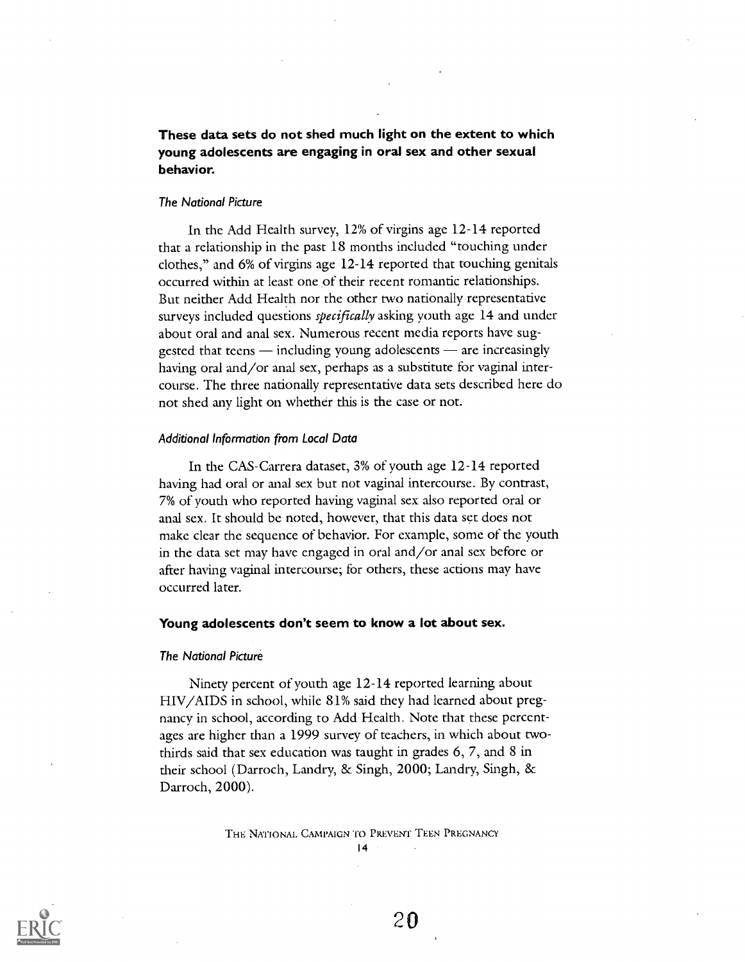These data sets do not shed much light on the extent to which young adolescents are engaging in oral sex and other sexual behavior.

#### The National Picture

In the Add Health survey, 12% of virgins age 12-14 reported that a relationship in the past 18 months included "touching under clothes," and 6% of virgins age 12-14 reported that touching genitals occurred within at least one of their recent romantic relationships. But neither Add Health nor the other two nationally representative surveys included questions *specifically* asking youth age 14 and under about oral and anal sex. Numerous recent media reports have suggested that teens  $-$  including young adolescents  $-$  are increasingly having oral and/or anal sex, perhaps as a substitute for vaginal intercourse. The three nationally representative data sets described here do not shed any light on whether this is the case or not.

#### Additional Information from Local Data

In the CAS-Carrera dataset, 3% of youth age 12-14 reported having had oral or anal sex but not vaginal intercourse. By contrast, 7% of youth who reported having vaginal sex also reported oral or anal sex. It should be noted, however, that this data set does not make clear the sequence of behavior. For example, some of the youth. in the data set may have engaged in oral and/or anal sex before or after having vaginal intercourse; for others, these actions may have occurred later.

### Young adolescents don't seem to know a lot about sex.

#### The National Picture

Ninety percent of youth age 12-14 reported learning about HIV/AIDS in school, while 81% said they had learned about pregnancy in school, according to Add Health. Note that these percentages are higher than a 1999 survey of teachers, in which about twothirds said that sex education was taught in grades 6, 7, and 8 in their school (Darroch, Landry, & Singh, 2000; Landry, Singh, & Darroch, 2000).

THE NATIONAL CAMPAIGN TO PREVENT TEEN PREGNANCY

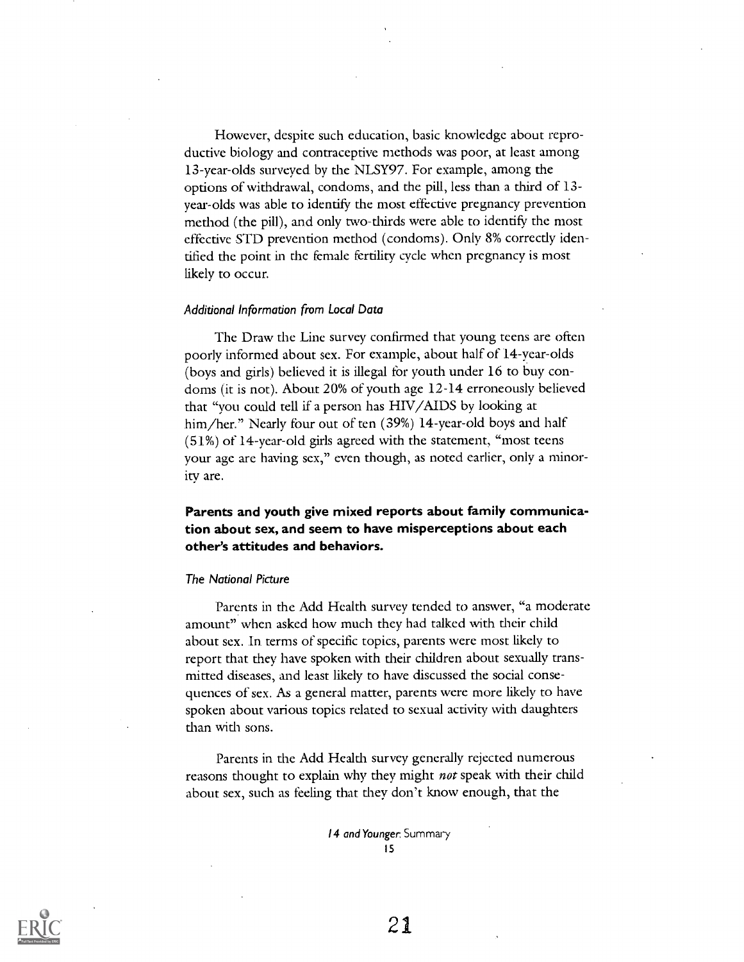However, despite such education, basic knowledge about reproductive biology and contraceptive methods was poor, at least among 13-year-olds surveyed by the NLSY97. For example, among the options of withdrawal, condoms, and the pill, less than a third of 13 year- olds was able to identify the most effective pregnancy prevention method (the pill), and only two-thirds were able to identify the most effective STD prevention method (condoms). Only 8% correctly identified the point in the female fertility cycle when pregnancy is most likely to occur.

#### Additional Information from Local Data

The Draw the Line survey confirmed that young teens are often poorly informed about sex. For example, about half of 14-year-olds (boys and girls) believed it is illegal for youth under 16 to buy condoms (it is not). About 20% of youth age 12-14 erroneously believed that "you could tell if a person has HIV/AIDS by looking at him/her." Nearly four out of ten (39%) 14-year-old boys and half (51%) of 14-year-old girls agreed with the statement, "most teens your age are having sex," even though, as noted earlier, only a minority are.

## Parents and youth give mixed reports about family communication about sex, and seem to have misperceptions about each other's attitudes and behaviors.

#### The National Picture

Parents in the Add Health survey tended to answer, "a moderate amount" when asked how much they had talked with their child about sex. In terms of specific topics, parents were most likely to report that they have spoken with their children about sexually transmitted diseases, and least likely to have discussed the social consequences of sex. As a general matter, parents were more likely to have spoken about various topics related to sexual activity with daughters than with sons.

Parents in the Add Health survey generally rejected numerous reasons thought to explain why they might *not* speak with their child about sex, such as feeling that they don't know enough, that the

> 14 and Younger: Summary 15

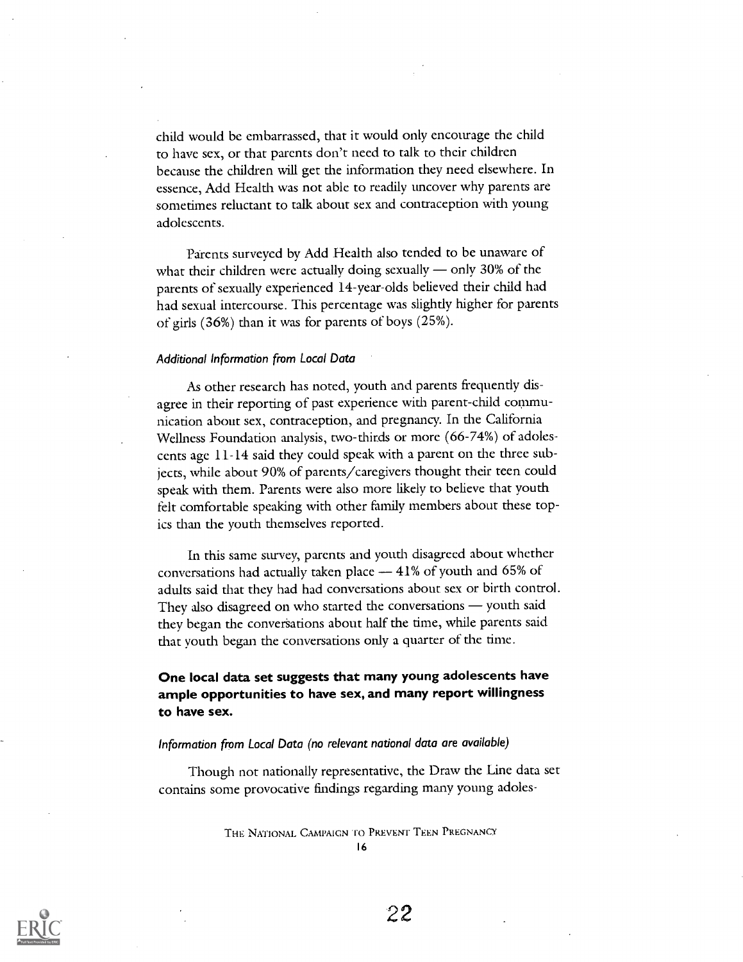child would be embarrassed, that it would only encourage the child to have sex, or that parents don't need to talk to their children because the children will get the information they need elsewhere. In essence, Add Health was not able to readily uncover why parents are sometimes reluctant to talk about sex and contraception with young adolescents.

Parents surveyed by Add Health also tended to be unaware of what their children were actually doing sexually  $-$  only 30% of the parents of sexually experienced 14-year-olds believed their child had had sexual intercourse. This percentage was slightly higher for parents of girls (36%) than it was for parents of boys (25%).

#### Additional Information from Local Data

As other research has noted, youth and parents frequently disagree in their reporting of past experience with parent-child communication about sex, contraception, and pregnancy. In the California Wellness Foundation analysis, two-thirds or more (66-74%) of adolescents age 11-14 said they could speak with a parent on the three subjects, while about 90% of parents/caregivers thought their teen could speak with them. Parents were also more likely to believe that youth felt comfortable speaking with other family members about these topics than the youth themselves reported.

In this same survey, parents and youth disagreed about whether conversations had actually taken place  $-41\%$  of youth and 65% of adults said that they had had conversations about sex or birth control. They also disagreed on who started the conversations - youth said they began the conversations about half the time, while parents said that youth began the conversations only a quarter of the time.

## One local data set suggests that many young adolescents have ample opportunities to have sex, and many report willingness to have sex.

#### Information from Local Data (no relevant national data are available)

Though not nationally representative, the Draw the Line data set contains some provocative findings regarding many young adoles-

> THE NATIONAL CAMPAIGN TO PREVENT TEEN PREGNANCY 16

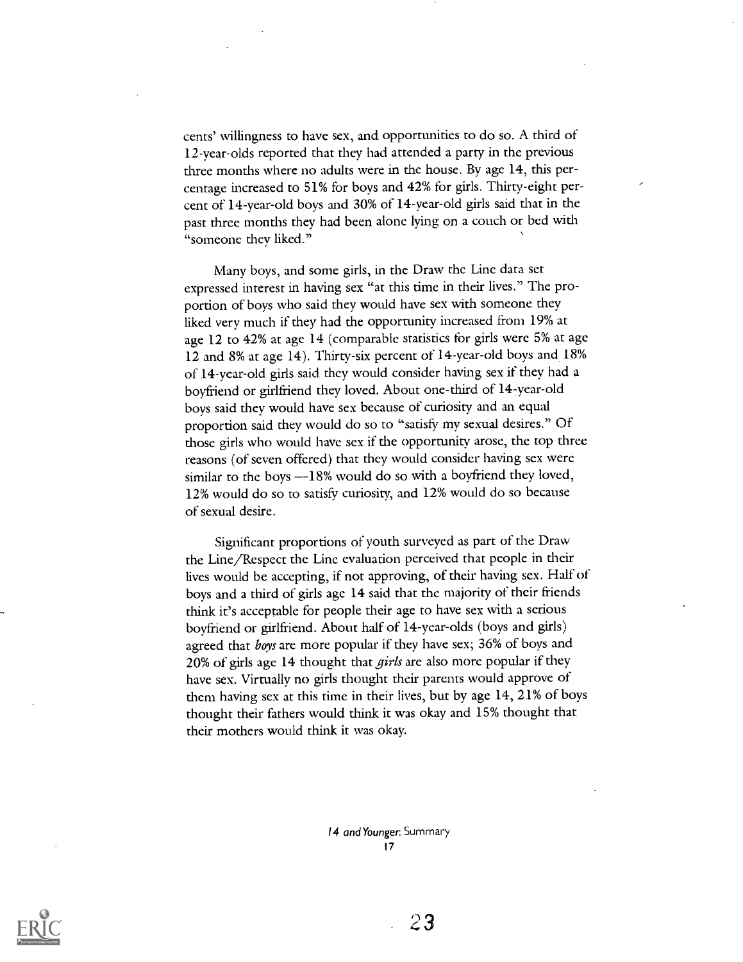cents' willingness to have sex, and opportunities to do so. A third of 12-year-olds reported that they had attended a party in the previous three months where no adults were in the house. By age 14, this percentage increased to 51% for boys and 42% for girls. Thirty-eight percent of 14-year-old boys and 30% of 14-year-old girls said that in the past three months they had been alone lying on a couch or bed with "someone they liked."

Many boys, and some girls, in the Draw the Line data set expressed interest in having sex "at this time in their lives." The proportion of boys who said they would have sex with someone they liked very much if they had the opportunity increased from 19% at age 12 to 42% at age 14 (comparable statistics for girls were 5% at age 12 and 8% at age 14). Thirty-six percent of 14-year-old boys and 18% of 14-year-old girls said they would consider having sex if they had a boyfriend or girlfriend they loved. About one-third of 14-year-old boys said they would have sex because of curiosity and an equal proportion said they would do so to "satisfy my sexual desires." Of those girls who would have sex if the opportunity arose, the top three reasons (of seven offered) that they would consider having sex were similar to the boys  $-18\%$  would do so with a boyfriend they loved, 12% would do so to satisfy curiosity, and 12% would do so because of sexual desire.

Significant proportions of youth surveyed as part of the Draw the Line/Respect the Line evaluation perceived that people in their lives would be accepting, if not approving, of their having sex. Half of boys and a third of girls age 14 said that the majority of their friends think it's acceptable for people their age to have sex with a serious boyfriend or girlfriend. About half of 14-year-olds (boys and girls) agreed that *boys* are more popular if they have sex; 36% of boys and 20% of girls age 14 thought that *girls* are also more popular if they have sex. Virtually no girls thought their parents would approve of them having sex at this time in their lives, but by age  $14$ ,  $21\%$  of boys thought their fathers would think it was okay and 15% thought that their mothers would think it was okay

> 14 and Younger. Summary 17

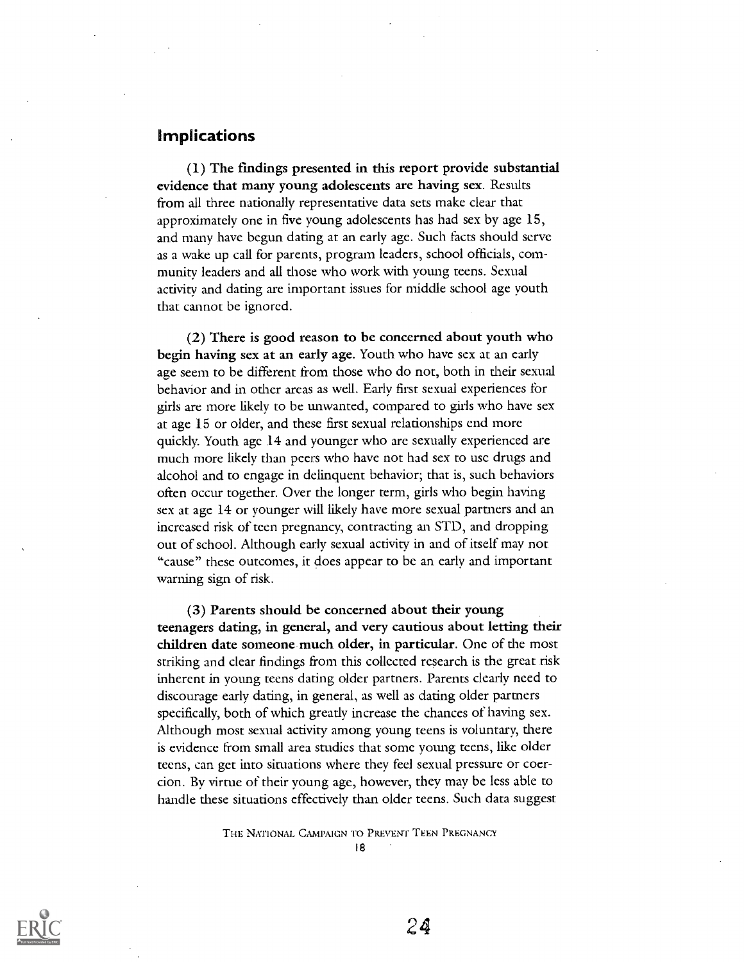## Implications

(1) The findings presented in this report provide substantial evidence that many young adolescents are having sex. Results from all three nationally representative data sets make clear that approximately one in five young adolescents has had sex by age  $15$ , and many have begun dating at an early age. Such facts should serve as a wake up call for parents, program leaders, school officials, community leaders and all those who work with young teens. Sexual activity and dating are important issues for middle school age youth that cannot be ignored.

(2) There is good reason to be concerned about youth who begin having sex at an early age. Youth who have sex at an early age seem to be different from those who do not, both in their sexual behavior and in other areas as well. Early first sexual experiences for girls are more likely to be unwanted, compared to girls who have sex at age 15 or older, and these first sexual relationships end more quickly. Youth age 14 and younger who are sexually experienced are much more likely than peers who have not had sex to use drugs and alcohol and to engage in delinquent behavior; that is, such behaviors often occur together. Over the longer term, girls who begin having sex at age 14 or younger will likely have more sexual partners and an increased risk of teen pregnancy, contracting an STD, and dropping out of school. Although early sexual activity in and of itself may not "cause" these outcomes, it does appear to be an early and important warning sign of risk.

(3) Parents should be concerned about their young teenagers dating, in general, and very cautious about letting their children date someone.much older, in particular. One of the most striking and clear findings from this collected research is the great risk inherent in young teens dating older partners. Parents clearly need to discourage early dating, in general, as well as dating older partners specifically, both of which greatly increase the chances of having sex. Although most sexual activity among young teens is voluntary, there is evidence from small area studies that some young teens, like older teens, can get into situations where they feel sexual pressure or coercion. By virtue of their young age, however, they may be less able to handle these situations effectively than older teens. Such data suggest

THE NATIONAL CAMPAIGN TO PREVENT TEEN PREGNANCY

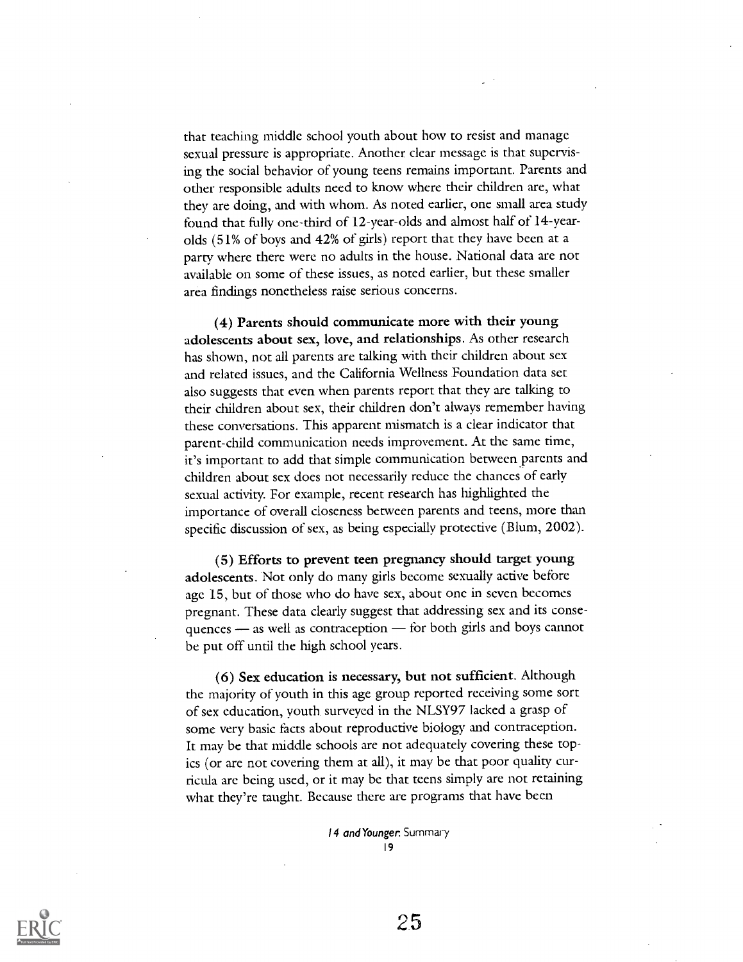that teaching middle school youth about how to resist and manage sexual pressure is appropriate. Another clear message is that supervising the social behavior of young teens remains important. Parents and other responsible adults need to know where their children are, what they are doing, and with whom. As noted earlier, one small area study found that fully one-third of 12-year-olds and almost half of 14-yearolds (51% of boys and 42% of girls) report that they have been at a party where there were no adults in the house. National data are not available on some of these issues, as noted earlier, but these smaller area findings nonetheless raise serious concerns.

(4) Parents should communicate more with their young adolescents about sex, love, and relationships. As other research has shown, not all parents are talking with their children about sex and related issues, and the California Wellness Foundation data set also suggests that even when parents report that they are talking to their children about sex, their children don't always remember having these conversations. This apparent mismatch is a clear indicator that parent-child communication needs improvement. At the same time, it's important to add that simple communication between parents and children about sex does not necessarily reduce the chances of early sexual activity. For example, recent research has highlighted the importance of overall closeness between parents and teens, more than specific discussion of sex, as being especially protective (Blum, 2002).

(5) Efforts to prevent teen pregnancy should target young adolescents. Not only do many girls become sexually active before age 15, but of those who do have sex, about one in seven becomes pregnant. These data clearly suggest that addressing sex and its consequences - as well as contraception - for both girls and boys cannot be put off until the high school years.

(6) Sex education is necessary, but not sufficient. Although the majority of youth in this age group reported receiving some sort of sex education, youth surveyed in the NLSY97 lacked a grasp of some very basic facts about reproductive biology and contraception. It may be that middle schools are not adequately covering these topics (or are not covering them at all), it may be that poor quality curricula arc being used, or it may be that teens simply arc not retaining what they're taught. Because there are programs that have been

> 14 and Younger. Summary 19

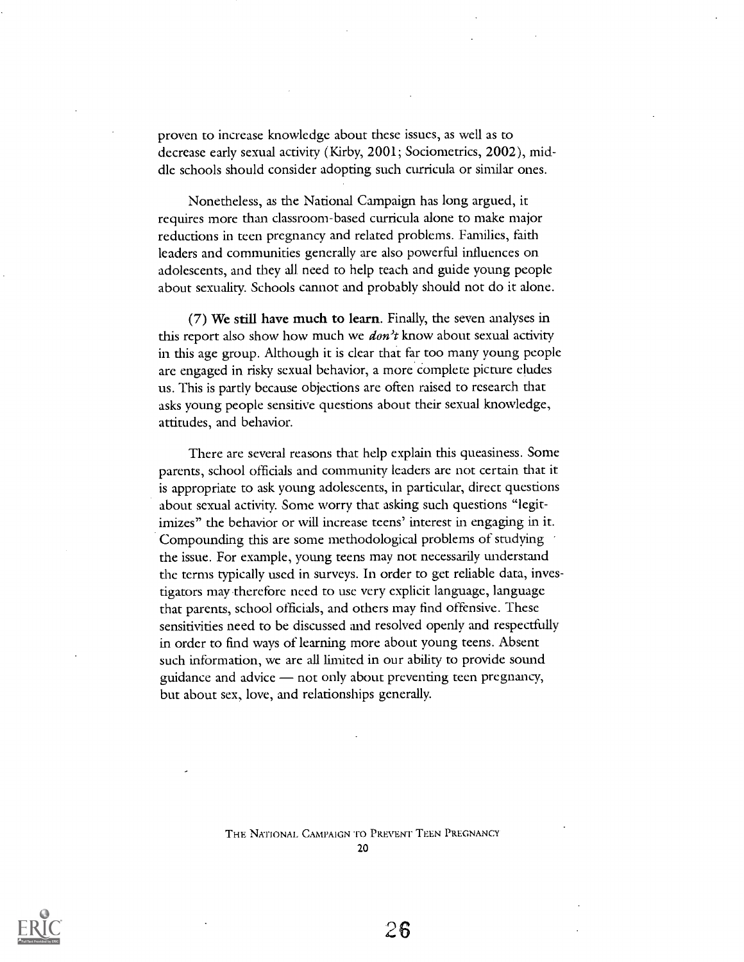proven to increase knowledge about these issues, as well as to decrease early sexual activity (Kirby, 2001; Sociometrics, 2002), middle schools should consider adopting such curricula or similar ones.

Nonetheless, as the National Campaign has long argued, it requires more than classroom-based curricula alone to make major reductions in teen pregnancy and related problems. Families, faith leaders and communities generally are also powerful influences on adolescents, and they all need to help teach and guide young people about sexuality. Schools cannot and probably should not do it alone.

(7) We still have much to learn. Finally, the seven analyses in this report also show how much we  $dom't$  know about sexual activity in this age group. Although it is clear that far too many young people arc engaged in risky sexual behavior, a more Complete picture eludes us. This is partly because objections are often raised to research that asks young people sensitive questions about their sexual knowledge, attitudes, and behavior.

There are several reasons that help explain this queasiness. Some parents, school officials and community leaders are not certain that it is appropriate to ask young adolescents, in particular, direct questions about sexual activity. Some worry that asking such questions "legitimizes" the behavior or will increase teens' interest in engaging in it. Compounding this are some methodological problems of studying the issue. For example, young teens may not necessarily understand the terms typically used in surveys. In order to get reliable data, investigators may therefore need to use very explicit language, language that parents, school officials, and others may find offensive. These sensitivities need to be discussed and resolved openly and respectfully in order to find ways of learning more about young teens. Absent such information, we are all limited in our ability to provide sound guidance and advice  $-$  not only about preventing teen pregnancy, but about sex, love, and relationships generally.

THE NATIONAL CAMPAIGN TO PREVENT TEEN PREGNANCY

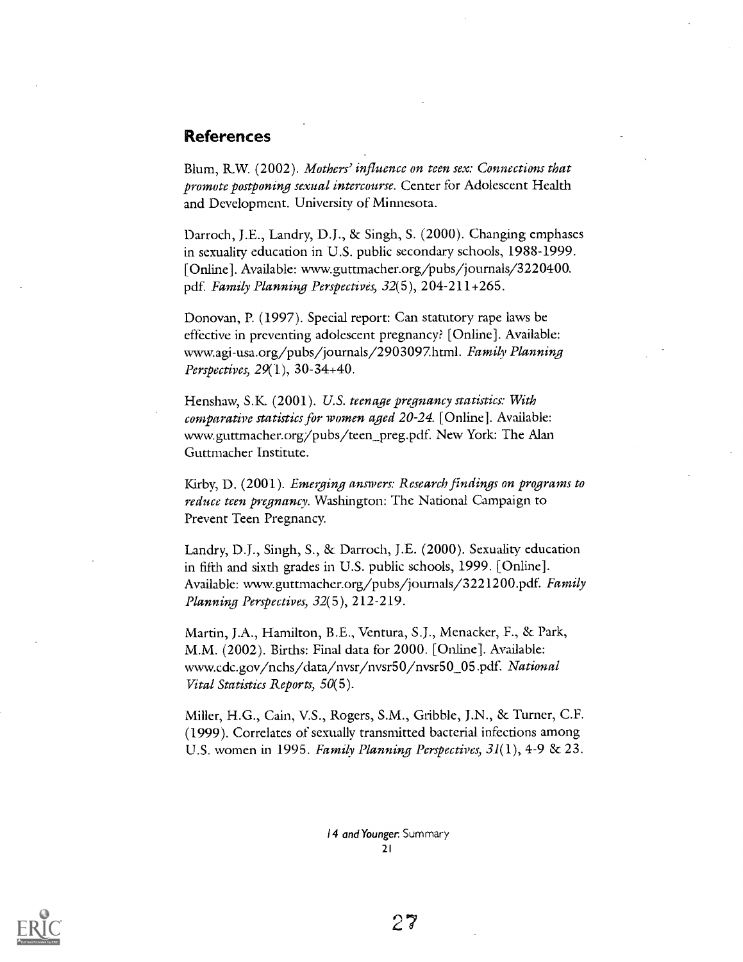## References

Blum, R.W. (2002). Mothers' influence on teen sex: Connections that promote postponing sexual intercourse. Center for Adolescent Health and Development. University of Minnesota.

Darroch, j.E., Landry, D.J., & Singh, S. (2000). Changing emphases in sexuality education in U.S. public secondary schools, 1988-1999. [Online]. Available: www.guttmacher.org/pubs/journals/3220400. pdf. Family Planning Perspectives, 32(5), 204-211+265.

Donovan, P. (1997). Special report: Can statutory rape laws be effective in preventing adolescent pregnancy? [Online]. Available: wwwagi- usa.org /pubs / journals /2903097.hrm1. Family Planning Perspectives, 29(1), 30-34+40.

Henshaw, S.K. (2001). U.S. teenage pregnancy statistics: With comparative statistics for women aged 20-24. [Online]. Available: www.guttmacher.org/pubs/teen\_preg.pdf. New York: The Alan Guttmacher Institute.

Kirby, D. (2001). Emerging answers: Research findings on programs to reduce teen pregnancy. Washington: The National Campaign to Prevent Teen Pregnancy.

Landry, D.J., Singh, S., & Darroch, J.E. (2000). Sexuality education in fifth and sixth grades in U.S. public schools, 1999. [Online]. Available: www.guttmacher.org/pubs/journals/3221200.pdf. Family Planning Perspectives, 32(5), 212-219.

Martin, J.A., Hamilton, B.E., Ventura, S.J., Menacker, F., & Park, M.M. (2002). Births: Final data for 2000. [Online]. Available: www.cdc.gov /nchs/ data /nvsr /nvsr50 /nvsr50\_05.pdf. National Vital Statistics Reports, 50(5).

Miller, H.G., Cain, V.S., Rogers, S.M., Gribble, J.N., & Turner, C.F. (1999). Correlates of sexually transmitted bacterial infections among U.S. women in 1995. Family Planning Perspectives,  $3I(1)$ , 4-9 & 23.

> 14 and Younger. Summary 21

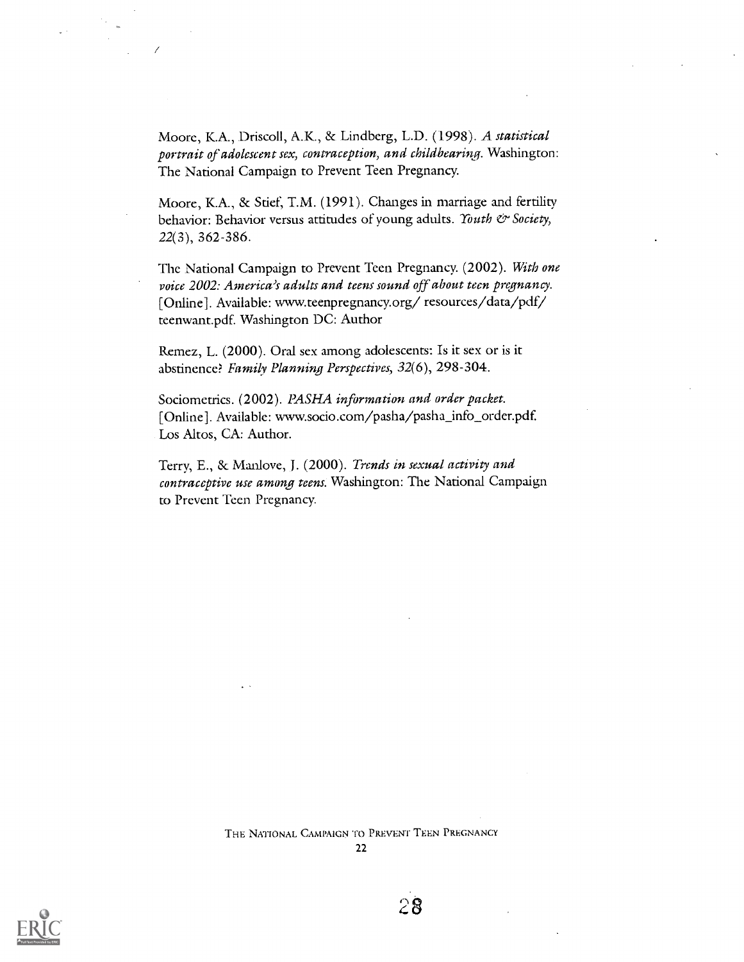Moore, K.A., Driscoll, A.K., & Lindberg, L.D. (1998). A statistical portrait of adolescent sex, contraception, and childbearing. Washington: The National Campaign to Prevent Teen Pregnancy.

Moore, K.A., & Stief, T.M. (1991). Changes in marriage and fertility behavior: Behavior versus attitudes of young adults. Youth & Society, 22(3), 362-386.

The National Campaign to Prevent Teen Pregnancy. (2002). With one voice 2002: America's adults and teens sound off about teen pregnancy. [Online]. Available: www.teenpregnancy.org/ resources/data/pdf/ teenwant.pdf. Washington DC: Author

Remez, L. (2000). Oral sex among adolescents: Is it sex or is it abstinence? Family Planning Perspectives, 32(6), 298-304.

Sociometrics. (2002). PASHA information and order packet. [Online]. Available: www.socio.com/pasha/pasha\_info\_order.pdf. Los Altos, CA: Author.

Terry, E., & Manlove, J. (2000). Trends in sexual activity and contraceptive use among teens. Washington: The National Campaign to Prevent Teen Pregnancy.

> THE NATIONAL CAMPAIGN TO PREVENT TEEN PREGNANCY 22